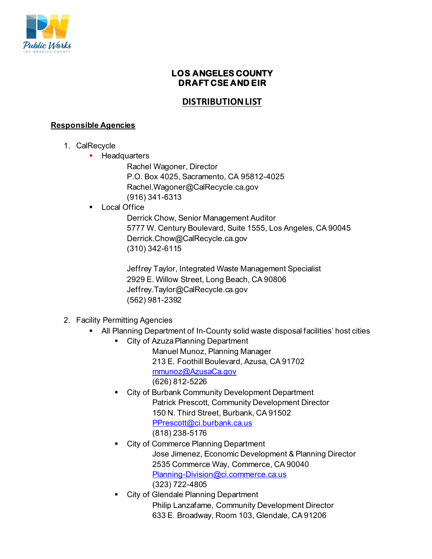

# **LOS ANGELES COUNTY DRAFT CSE AND EIR**

# **DISTRIBUTION LIST**

### **Responsible Agencies**

- 1. CalRecycle
	- **Headquarters**

Rachel Wagoner, Director P.O. Box 4025, Sacramento, CA 95812-4025 Rachel.Wagoner@CalRecycle.ca.gov (916) 341-6313

**Local Office** 

Derrick Chow, Senior Management Auditor 5777 W. Century Boulevard, Suite 1555, Los Angeles, CA 90045 Derrick.Chow@CalRecycle.ca.gov (310) 342-6115

Jeffrey Taylor, Integrated Waste Management Specialist 2929 E. Willow Street, Long Beach, CA 90806 Jeffrey.Taylor@CalRecycle.ca.gov (562) 981-2392

## 2. Facility Permitting Agencies

- All Planning Department of In-County solid waste disposal facilities' host cities
	- **EXTERGHT City of Azuza Planning Department** Manuel Munoz, Planning Manager 213 E. Foothill Boulevard, Azusa, CA 91702 [mmunoz@AzusaCa.gov](mailto:mmunoz@AzusaCa.gov) (626) 812-5226
	- City of Burbank Community Development Department Patrick Prescott, Community Development Director 150 N. Third Street, Burbank, CA 91502 [PPrescott@ci.burbank.ca.us](mailto:PPrescott@ci.burbank.ca.us) (818) 238-5176
	- City of Commerce Planning Department Jose Jimenez, Economic Development & Planning Director 2535 Commerce Way, Commerce, CA 90040 [Planning-Division@ci.commerce.ca.us](mailto:Planning-Division@ci.commerce.ca.us) (323) 722-4805
	- City of Glendale Planning Department Philip Lanzafame, Community Development Director 633 E. Broadway, Room 103, Glendale, CA 91206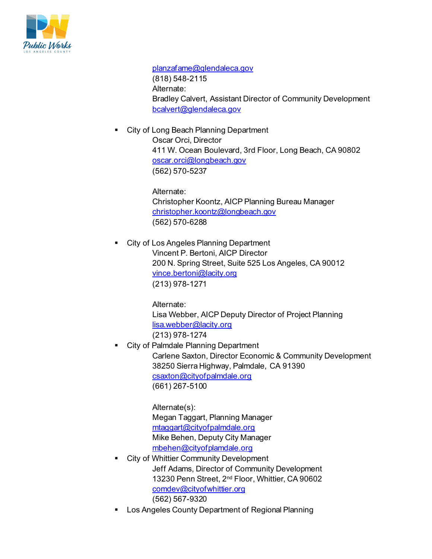

[planzafame@glendaleca.gov](mailto:planzafame@glendaleca.gov)  (818) 548-2115 Alternate: Bradley Calvert, Assistant Director of Community Development [bcalvert@glendaleca.gov](mailto:bcalvert@glendaleca.gov)

 City of Long Beach Planning Department Oscar Orci, Director 411 W. Ocean Boulevard, 3rd Floor, Long Beach, CA 90802 [oscar.orci@longbeach.gov](mailto:oscar.orci@longbeach.gov) (562) 570-5237

> Alternate: Christopher Koontz, AICP Planning Bureau Manager [christopher.koontz@longbeach.gov](mailto:christopher.koontz@longbeach.gov) (562) 570-6288

 City of Los Angeles Planning Department Vincent P. Bertoni, AICP Director 200 N. Spring Street, Suite 525 Los Angeles, CA 90012 [vince.bertoni@lacity.org](mailto:vince.bertoni@lacity.org) (213) 978-1271

> Alternate: Lisa Webber, AICP Deputy Director of Project Planning [lisa.webber@lacity.org](mailto:lisa.webber@lacity.org) (213) 978-1274

 City of Palmdale Planning Department Carlene Saxton, Director Economic & Community Development 38250 Sierra Highway, Palmdale, CA 91390 [csaxton@cityofpalmdale.org](mailto:csaxton@cityofpalmdale.org) (661) 267-5100

> Alternate(s): Megan Taggart, Planning Manager [mtaggart@cityofpalmdale.org](mailto:mtaggart@cityofpalmdale.org)  Mike Behen, Deputy City Manager [mbehen@cityofplamdale.org](mailto:mbehen@cityofplamdale.org)

- City of Whittier Community Development Jeff Adams, Director of Community Development 13230 Penn Street, 2nd Floor, Whittier, CA 90602 [comdev@cityofwhittier.org](mailto:comdev@cityofwhittier.org) (562) 567-9320
- Los Angeles County Department of Regional Planning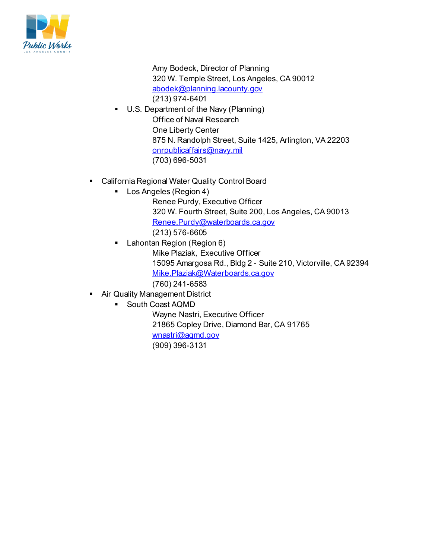

Amy Bodeck, Director of Planning 320 W. Temple Street, Los Angeles, CA 90012 [abodek@planning.lacounty.gov](mailto:abodek@planning.lacounty.gov) (213) 974-6401

- U.S. Department of the Navy (Planning) Office of Naval Research One Liberty Center 875 N. Randolph Street, Suite 1425, Arlington, VA 22203 [onrpublicaffairs@navy.mil](mailto:onrpublicaffairs@navy.mil) (703) 696-5031
- California Regional Water Quality Control Board
	- **Los Angeles (Region 4)** 
		- Renee Purdy, Executive Officer 320 W. Fourth Street, Suite 200, Los Angeles, CA 90013 [Renee.Purdy@waterboards.ca.gov](mailto:Renee.Purdy@waterboards.ca.gov)
		- (213) 576-6605
	- Lahontan Region (Region 6) Mike Plaziak, Executive Officer 15095 Amargosa Rd., Bldg 2 - Suite 210, Victorville, CA 92394 [Mike.Plaziak@Waterboards.ca.gov](mailto:Mike.Plaziak@Waterboards.ca.gov) (760) 241-6583
- **Air Quality Management District** 
	- **South Coast AQMD**

Wayne Nastri, Executive Officer 21865 Copley Drive, Diamond Bar, CA 91765

[wnastri@aqmd.gov](mailto:wnastri@aqmd.gov)

(909) 396-3131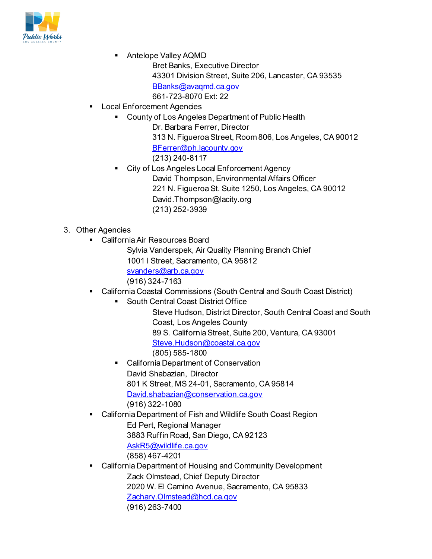

- Antelope Valley AQMD
	- Bret Banks, Executive Director
	- 43301 Division Street, Suite 206, Lancaster, CA 93535
	- [BBanks@avaqmd.ca.gov](mailto:BBanks@avaqmd.ca.gov)
	- 661-723-8070 Ext: 22
- **-** Local Enforcement Agencies
	- **County of Los Angeles Department of Public Health** 
		- Dr. Barbara Ferrer, Director
		- 313 N. Figueroa Street, Room 806, Los Angeles, CA 90012 [BFerrer@ph.lacounty.gov](mailto:BFerrer@ph.lacounty.gov) (213) 240-8117
		- City of Los Angeles Local Enforcement Agency David Thompson, Environmental Affairs Officer 221 N. Figueroa St. Suite 1250, Los Angeles, CA 90012 David.Thompson@lacity.org (213) 252-3939
- 3. Other Agencies
	- California Air Resources Board
		- Sylvia Vanderspek, Air Quality Planning Branch Chief 1001 I Street, Sacramento, CA 95812 [svanders@arb.ca.gov](mailto:svanders@arb.ca.gov) (916) 324-7163
	- California Coastal Commissions (South Central and South Coast District)
		- **South Central Coast District Office**

Steve Hudson, District Director, South Central Coast and South Coast, Los Angeles County 89 S. California Street, Suite 200, Ventura, CA 93001 [Steve.Hudson@coastal.ca.gov](mailto:Steve.Hudson@coastal.ca.gov) 

- (805) 585-1800
- California Department of Conservation David Shabazian, Director 801 K Street, MS 24-01, Sacramento, CA 95814 [David.shabazian@conservation.ca.gov](mailto:David.shabazian@conservation.ca.gov) (916) 322-1080
- California Department of Fish and Wildlife South Coast Region Ed Pert, Regional Manager 3883 Ruffin Road, San Diego, CA 92123 [AskR5@wildlife.ca.gov](mailto:AskR5@wildlife.ca.gov) (858) 467-4201
- California Department of Housing and Community Development Zack Olmstead, Chief Deputy Director 2020 W. El Camino Avenue, Sacramento, CA 95833 [Zachary.Olmstead@hcd.ca.gov](mailto:Zachary.Olmstead@hcd.ca.gov) (916) 263-7400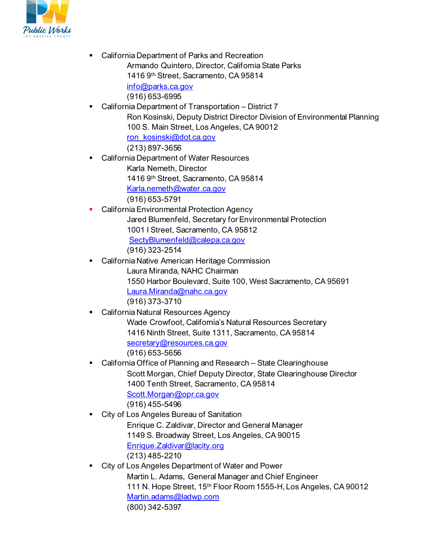

 California Department of Parks and Recreation Armando Quintero, Director, California State Parks 1416 9th Street, Sacramento, CA 95814

> [info@parks.ca.gov](mailto:info@parks.ca.gov) (916) 653-6995

- California Department of Transportation District 7 Ron Kosinski, Deputy District Director Division of Environmental Planning 100 S. Main Street, Los Angeles, CA 90012 [ron\\_kosinski@dot.ca.gov](mailto:ron_kosinski@dot.ca.gov) (213) 897-3656
- California Department of Water Resources Karla Nemeth, Director 1416 9th Street, Sacramento, CA 95814 [Karla.nemeth@water.ca.gov](mailto:Karla.nemeth@water.ca.gov) (916) 653-5791
- California Environmental Protection Agency Jared Blumenfeld, Secretary for Environmental Protection 1001 I Street, Sacramento, CA 95812 [SectyBlumenfeld@calepa.ca.gov](mailto:SectyBlumenfeld@calepa.ca.gov) (916) 323-2514
- California Native American Heritage Commission Laura Miranda, NAHC Chairman 1550 Harbor Boulevard, Suite 100, West Sacramento, CA 95691 [Laura.Miranda@nahc.ca.gov](mailto:Laura.Miranda@nahc.ca.gov) (916) 373-3710
- California Natural Resources Agency Wade Crowfoot, California's Natural Resources Secretary 1416 Ninth Street, Suite 1311, Sacramento, CA 95814 [secretary@resources.ca.gov](mailto:secretary@resources.ca.gov) (916) 653-5656
- California Office of Planning and Research State Clearinghouse Scott Morgan, Chief Deputy Director, State Clearinghouse Director 1400 Tenth Street, Sacramento, CA 95814 [Scott.Morgan@opr.ca.gov](mailto:Scott.Morgan@opr.ca.gov) (916) 455-5496
- City of Los Angeles Bureau of Sanitation Enrique C. Zaldivar, Director and General Manager 1149 S. Broadway Street, Los Angeles, CA 90015 [Enrique.Zaldivar@lacity.org](mailto:Enrique.Zaldivar@lacity.org) (213) 485-2210
	- City of Los Angeles Department of Water and Power Martin L. Adams, General Manager and Chief Engineer 111 N. Hope Street, 15th Floor Room 1555-H, Los Angeles, CA 90012 [Martin.adams@ladwp.com](mailto:Martin.adams@ladwp.com) (800) 342-5397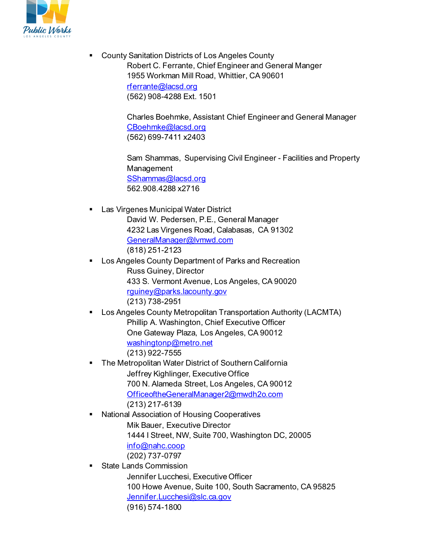

 County Sanitation Districts of Los Angeles County Robert C. Ferrante, Chief Engineer and General Manger 1955 Workman Mill Road, Whittier, CA 90601 [rferrante@lacsd.org](mailto:rferrante@lacsd.org) (562) 908-4288 Ext. 1501

> Charles Boehmke, Assistant Chief Engineer and General Manager [CBoehmke@lacsd.org](mailto:CBoehmke@lacsd.org) (562) 699-7411 x2403

Sam Shammas, Supervising Civil Engineer - Facilities and Property Management [SShammas@lacsd.org](mailto:SShammas@lacsd.org) 562.908.4288 x2716

**Las Virgenes Municipal Water District** 

David W. Pedersen, P.E., General Manager 4232 Las Virgenes Road, Calabasas, CA 91302 [GeneralManager@lvmwd.com](mailto:GeneralManager@lvmwd.com) (818) 251-2123

- Los Angeles County Department of Parks and Recreation Russ Guiney, Director 433 S. Vermont Avenue, Los Angeles, CA 90020 [rguiney@parks.lacounty.gov](mailto:rguiney@parks.lacounty.gov) (213) 738-2951
- Los Angeles County Metropolitan Transportation Authority (LACMTA) Phillip A. Washington, Chief Executive Officer One Gateway Plaza, Los Angeles, CA 90012 [washingtonp@metro.net](mailto:washingtonp@metro.net) (213) 922-7555
- The Metropolitan Water District of Southern California Jeffrey Kighlinger, Executive Office 700 N. Alameda Street, Los Angeles, CA 90012 [OfficeoftheGeneralManager2@mwdh2o.com](mailto:OfficeoftheGeneralManager2@mwdh2o.com) (213) 217-6139
- **National Association of Housing Cooperatives** Mik Bauer, Executive Director 1444 I Street, NW, Suite 700, Washington DC, 20005 [info@nahc.coop](mailto:info@nahc.coop) (202) 737-0797
- State Lands Commission

Jennifer Lucchesi, Executive Officer 100 Howe Avenue, Suite 100, South Sacramento, CA 95825 [Jennifer.Lucchesi@slc.ca.gov](mailto:Jennifer.Lucchesi@slc.ca.gov) (916) 574-1800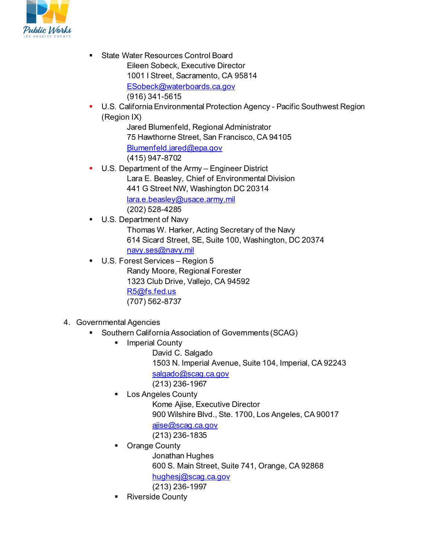

- **State Water Resources Control Board** Eileen Sobeck, Executive Director 1001 I Street, Sacramento, CA 95814 [ESobeck@waterboards.ca.gov](mailto:ESobeck@waterboards.ca.gov) (916) 341-5615
- U.S. California Environmental Protection Agency Pacific Southwest Region (Region IX)

Jared Blumenfeld, Regional Administrator 75 Hawthorne Street, San Francisco, CA 94105 [Blumenfeld.jared@epa.gov](mailto:Blumenfeld.jared@epa.gov) (415) 947-8702

- U.S. Department of the Army Engineer District Lara E. Beasley, Chief of Environmental Division 441 G Street NW, Washington DC 20314 [lara.e.beasley@usace.army.mil](mailto:lara.e.beasley@usace.army.mil) (202) 528-4285
- U.S. Department of Navy Thomas W. Harker, Acting Secretary of the Navy 614 Sicard Street, SE, Suite 100, Washington, DC 20374 [navy.ses@navy.mil](mailto:navy.ses@navy.mil)
- U.S. Forest Services Region 5 Randy Moore, Regional Forester 1323 Club Drive, Vallejo, CA 94592 [R5@fs.fed.us](mailto:R5@fs.fed.us) (707) 562-8737

# 4. Governmental Agencies

- **Southern California Association of Governments (SCAG)** 
	- Imperial County
		- David C. Salgado
			- 1503 N. Imperial Avenue, Suite 104, Imperial, CA 92243
		- [salgado@scag.ca.gov](mailto:salgado@scag.ca.gov)
		- (213) 236-1967
	- Los Angeles County
		- Kome Ajise, Executive Director
		- 900 Wilshire Blvd., Ste. 1700, Los Angeles, CA 90017
		- [ajise@scag.ca.gov](mailto:ajise@scag.ca.gov)
		- (213) 236-1835
	- Orange County
		- Jonathan Hughes
		- 600 S. Main Street, Suite 741, Orange, CA 92868
		- [hughesj@scag.ca.gov](mailto:hughesj@scag.ca.gov)
		- (213) 236-1997
	- Riverside County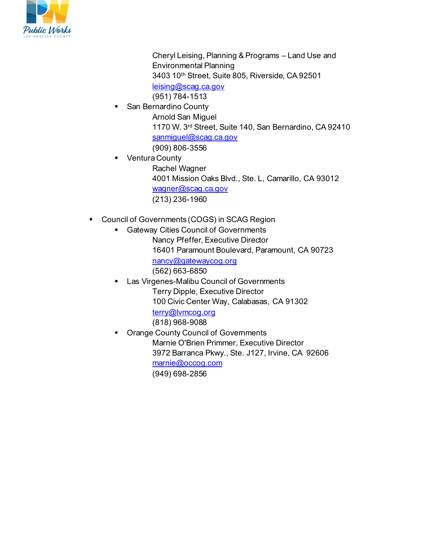

Cheryl Leising, Planning & Programs – Land Use and Environmental Planning 3403 10th Street, Suite 805, Riverside, CA 92501 [leising@scag.ca.gov](mailto:leising@scag.ca.gov)

(951) 784-1513

- San Bernardino County Arnold San Miguel 1170 W. 3rd Street, Suite 140, San Bernardino, CA 92410 [sanmiguel@scag.ca.gov](mailto:sanmiguel@scag.ca.gov) (909) 806-3556
- **•** Ventura County Rachel Wagner 4001 Mission Oaks Blvd., Ste. L, Camarillo, CA 93012 [wagner@scag.ca.gov](mailto:wagner@scag.ca.gov) (213) 236-1960
- Council of Governments (COGS) in SCAG Region
	- **Gateway Cities Council of Governments** Nancy Pfeffer, Executive Director 16401 Paramount Boulevard, Paramount, CA 90723 [nancy@gatewaycog.org](mailto:nancy@gatewaycog.org) (562) 663-6850
	- Las Virgenes-Malibu Council of Governments Terry Dipple, Executive Director 100 Civic Center Way, Calabasas, CA 91302 [terry@lvmcog.org](mailto:terry@lvmcog.org) (818) 968-9088
	- Orange County Council of Governments Marnie O'Brien Primmer, Executive Director 3972 Barranca Pkwy., Ste. J127, Irvine, CA 92606 [marnie@occog.com](mailto:marnie@occog.com) (949) 698-2856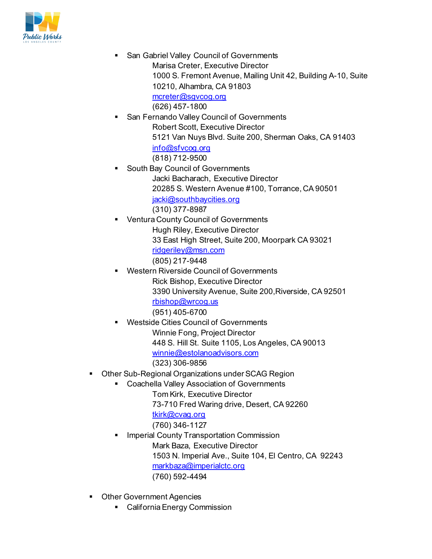

- San Gabriel Valley Council of Governments Marisa Creter, Executive Director 1000 S. Fremont Avenue, Mailing Unit 42, Building A-10, Suite 10210, Alhambra, CA 91803 [mcreter@sgvcog.org](mailto:mcreter@sgvcog.org) (626) 457-1800
- San Fernando Valley Council of Governments Robert Scott, Executive Director 5121 Van Nuys Blvd. Suite 200, Sherman Oaks, CA 91403 [info@sfvcog.org](mailto:info@sfvcog.org) (818) 712-9500
- South Bay Council of Governments Jacki Bacharach, Executive Director 20285 S. Western Avenue #100, Torrance, CA 90501 [jacki@southbaycities.org](mailto:jacki@southbaycities.org) (310) 377-8987
- Ventura County Council of Governments Hugh Riley, Executive Director 33 East High Street, Suite 200, Moorpark CA 93021 [ridgeriley@msn.com](mailto:ridgeriley@msn.com) (805) 217-9448
- Western Riverside Council of Governments Rick Bishop, Executive Director 3390 University Avenue, Suite 200,Riverside, CA 92501 [rbishop@wrcog.us](mailto:rbishop@wrcog.us) (951) 405-6700
- Westside Cities Council of Governments Winnie Fong, Project Director 448 S. Hill St. Suite 1105, Los Angeles, CA 90013 [winnie@estolanoadvisors.com](mailto:winnie@estolanoadvisors.com) (323) 306-9856
- Other Sub-Regional Organizations under SCAG Region
	- **EXP** Coachella Valley Association of Governments
		- Tom Kirk, Executive Director 73-710 Fred Waring drive, Desert, CA 92260 [tkirk@cvag.org](mailto:tkirk@cvag.org)
		- (760) 346-1127 Imperial County Transportation Commission
		- Mark Baza, Executive Director 1503 N. Imperial Ave., Suite 104, El Centro, CA 92243 [markbaza@imperialctc.org](mailto:markbaza@imperialctc.org) (760) 592-4494
- **Other Government Agencies** 
	- California Energy Commission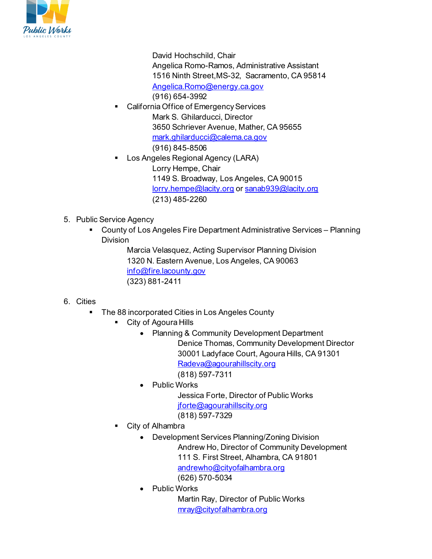

David Hochschild, Chair Angelica Romo-Ramos, Administrative Assistant 1516 Ninth Street,MS-32, Sacramento, CA 95814 [Angelica.Romo@energy.ca.gov](mailto:Angelica.Romo@energy.ca.gov) (916) 654-3992

- California Office of Emergency Services Mark S. Ghilarducci, Director 3650 Schriever Avenue, Mather, CA 95655 [mark.ghilarducci@calema.ca.gov](mailto:mark.ghilarducci@calema.ca.gov) (916) 845-8506
- Los Angeles Regional Agency (LARA) Lorry Hempe, Chair 1149 S. Broadway, Los Angeles, CA 90015 [lorry.hempe@lacity.org](mailto:lorry.hempe@lacity.org) o[r sanab939@lacity.org](mailto:sanab939@lacity.org) (213) 485-2260
- 5. Public Service Agency
	- County of Los Angeles Fire Department Administrative Services Planning Division

Marcia Velasquez, Acting Supervisor Planning Division 1320 N. Eastern Avenue, Los Angeles, CA 90063 [info@fire.lacounty.gov](mailto:info@fire.lacounty.gov) (323) 881-2411

## 6. Cities

- **The 88 incorporated Cities in Los Angeles County** 
	- City of Agoura Hills
		- Planning & Community Development Department Denice Thomas, Community Development Director 30001 Ladyface Court, Agoura Hills, CA 91301 [Radeva@agourahillscity.org](mailto:Radeva@agourahillscity.org) (818) 597-7311
		- Public Works

Jessica Forte, Director of Public Works [jforte@agourahillscity.org](mailto:jforte@agourahillscity.org) (818) 597-7329

- City of Alhambra
	- Development Services Planning/Zoning Division Andrew Ho, Director of Community Development 111 S. First Street, Alhambra, CA 91801 [andrewho@cityofalhambra.org](mailto:andrewho@cityofalhambra.org) (626) 570-5034
	- Public Works

Martin Ray, Director of Public Works [mray@cityofalhambra.org](mailto:mray@cityofalhambra.org)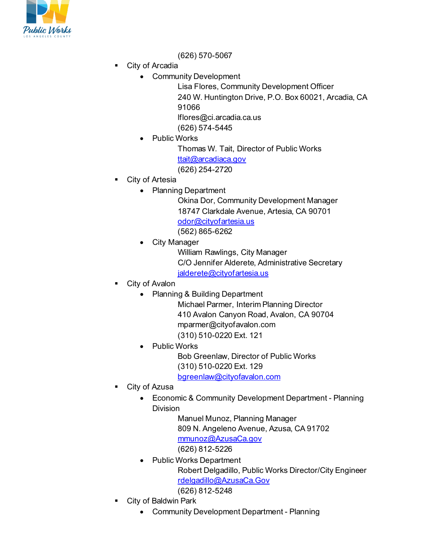

(626) 570-5067

- City of Arcadia
	- Community Development

Lisa Flores, Community Development Officer 240 W. Huntington Drive, P.O. Box 60021, Arcadia, CA 91066 lflores@ci.arcadia.ca.us (626) 574-5445

• Public Works

Thomas W. Tait, Director of Public Works [ttait@arcadiaca.gov](mailto:ttait@arcadiaca.gov) (626) 254-2720

- City of Artesia
	- Planning Department

Okina Dor, Community Development Manager 18747 Clarkdale Avenue, Artesia, CA 90701 [odor@cityofartesia.us](mailto:odor@cityofartesia.us) (562) 865-6262

**City Manager** 

William Rawlings, City Manager C/O Jennifer Alderete, Administrative Secretary [jalderete@cityofartesia.us](mailto:jalderete@cityofartesia.us)

- City of Avalon
	- Planning & Building Department
		- Michael Parmer, Interim Planning Director 410 Avalon Canyon Road, Avalon, CA 90704 mparmer@cityofavalon.com (310) 510-0220 Ext. 121
	- Public Works

Bob Greenlaw, Director of Public Works (310) 510-0220 Ext. 129 [bgreenlaw@cityofavalon.com](mailto:bgreenlaw@cityofavalon.com)

- City of Azusa
	- Economic & Community Development Department Planning Division

Manuel Munoz, Planning Manager 809 N. Angeleno Avenue, Azusa, CA 91702 [mmunoz@AzusaCa.gov](mailto:mmunoz@AzusaCa.gov)  (626) 812-5226

- Public Works Department Robert Delgadillo, Public Works Director/City Engineer [rdelgadillo@AzusaCa.Gov](mailto:rdelgadillo@AzusaCa.Gov) (626) 812-5248
- City of Baldwin Park
	- Community Development Department Planning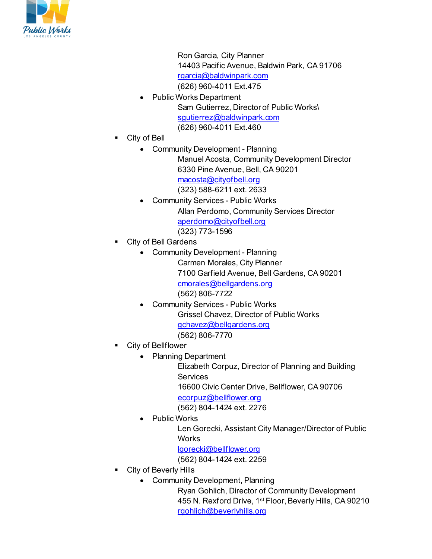

Ron Garcia, City Planner 14403 Pacific Avenue, Baldwin Park, CA 91706 [rgarcia@baldwinpark.com](mailto:rgarcia@baldwinpark.com) (626) 960-4011 Ext.475

- Public Works Department Sam Gutierrez, Director of Public Works\ squtierrez@baldwinpark.com (626) 960-4011 Ext.460
- City of Bell
	- Community Development Planning Manuel Acosta, Community Development Director 6330 Pine Avenue, Bell, CA 90201 [macosta@cityofbell.org](mailto:macosta@cityofbell.org)
		- (323) 588-6211 ext. 2633
		- Community Services Public Works Allan Perdomo, Community Services Director [aperdomo@cityofbell.org](mailto:aperdomo@cityofbell.org) (323) 773-1596
- City of Bell Gardens
	- Community Development Planning Carmen Morales, City Planner 7100 Garfield Avenue, Bell Gardens, CA 90201 [cmorales@bellgardens.org](mailto:cmorales@bellgardens.org) (562) 806-7722
	- Community Services Public Works Grissel Chavez, Director of Public Works [gchavez@bellgardens.org](mailto:gchavez@bellgardens.org) (562) 806-7770
- City of Bellflower
	- Planning Department
		- Elizabeth Corpuz, Director of Planning and Building **Services** 16600 Civic Center Drive, Bellflower, CA 90706 [ecorpuz@bellflower.org](mailto:ecorpuz@bellflower.org) (562) 804-1424 ext. 2276
	- Public Works
		- Len Gorecki, Assistant City Manager/Director of Public **Works**
		- [lgorecki@bellflower.org](mailto:lgorecki@bellflower.org)
		- (562) 804-1424 ext. 2259
- City of Beverly Hills
	- Community Development, Planning
		- Ryan Gohlich, Director of Community Development 455 N. Rexford Drive, 1st Floor, Beverly Hills, CA 90210 [rgohlich@beverlyhills.org](mailto:rgohlich@beverlyhills.org)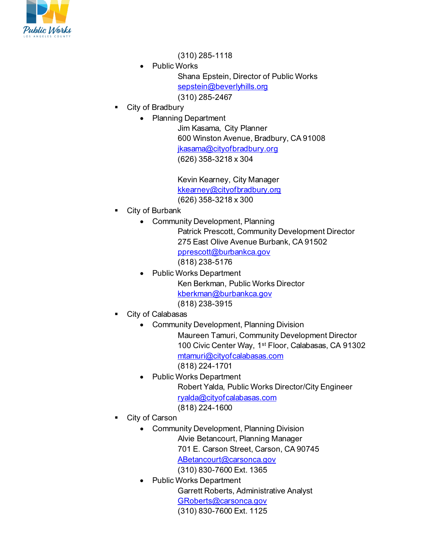

(310) 285-1118

Public Works Shana Epstein, Director of Public Works [sepstein@beverlyhills.org](mailto:sepstein@beverlyhills.org)

(310) 285-2467

- City of Bradbury
	- Planning Department

Jim Kasama, City Planner 600 Winston Avenue, Bradbury, CA 91008 [jkasama@cityofbradbury.org](mailto:jkasama@cityofbradbury.org) (626) 358-3218 x 304

Kevin Kearney, City Manager [kkearney@cityofbradbury.org](mailto:kkearney@cityofbradbury.org) (626) 358-3218 x 300

- City of Burbank
	- Community Development, Planning

Patrick Prescott, Community Development Director 275 East Olive Avenue Burbank, CA 91502 [pprescott@burbankca.gov](mailto:pprescott@burbankca.gov) (818) 238-5176

- Public Works Department Ken Berkman, Public Works Director [kberkman@burbankca.gov](mailto:kberkman@burbankca.gov) (818) 238-3915
- City of Calabasas
	- Community Development, Planning Division

Maureen Tamuri, Community Development Director 100 Civic Center Way, 1st Floor, Calabasas, CA 91302 [mtamuri@cityofcalabasas.com](mailto:mtamuri@cityofcalabasas.com)

- (818) 224-1701
- Public Works Department Robert Yalda, Public Works Director/City Engineer [ryalda@cityofcalabasas.com](mailto:ryalda@cityofcalabasas.com) (818) 224-1600
- City of Carson
	- Community Development, Planning Division Alvie Betancourt, Planning Manager 701 E. Carson Street, Carson, CA 90745

[ABetancourt@carsonca.gov](mailto:ABetancourt@carsonca.gov) (310) 830-7600 Ext. 1365

• Public Works Department Garrett Roberts, Administrative Analyst [GRoberts@carsonca.gov](mailto:GRoberts@carsonca.gov) (310) 830-7600 Ext. 1125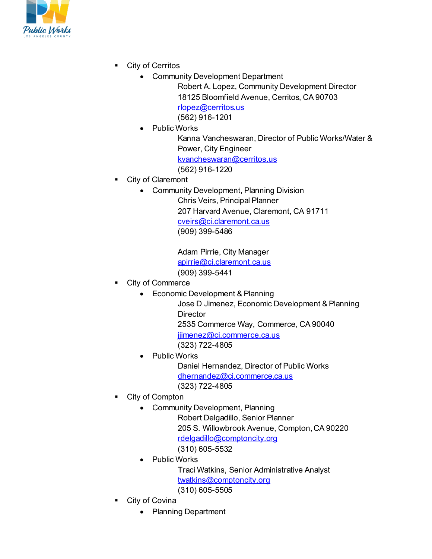

- City of Cerritos
	- Community Development Department
		- Robert A. Lopez, Community Development Director 18125 Bloomfield Avenue, Cerritos, CA 90703 [rlopez@cerritos.us](mailto:rlopez@cerritos.us) (562) 916-1201
	- Public Works
		- Kanna Vancheswaran, Director of Public Works/Water & Power, City Engineer [kvancheswaran@cerritos.us](mailto:kvancheswaran@cerritos.us) (562) 916-1220
- City of Claremont
	- Community Development, Planning Division
		- Chris Veirs, Principal Planner 207 Harvard Avenue, Claremont, CA 91711 [cveirs@ci.claremont.ca.us](mailto:cveirs@ci.claremont.ca.us) (909) 399-5486

Adam Pirrie, City Manager [apirrie@ci.claremont.ca.us](mailto:apirrie@ci.claremont.ca.us) (909) 399-5441

- City of Commerce
	- Economic Development & Planning
		- Jose D Jimenez, Economic Development & Planning **Director** 2535 Commerce Way, Commerce, CA 90040

jijmenez@ci.commerce.ca.us

- (323) 722-4805
- Public Works

Daniel Hernandez, Director of Public Works [dhernandez@ci.commerce.ca.us](mailto:dhernandez@ci.commerce.ca.us) (323) 722-4805

- City of Compton
	- Community Development, Planning

Robert Delgadillo, Senior Planner 205 S. Willowbrook Avenue, Compton, CA 90220 [rdelgadillo@comptoncity.org](mailto:rdelgadillo@comptoncity.org) (310) 605-5532

• Public Works

Traci Watkins, Senior Administrative Analyst [twatkins@comptoncity.org](mailto:twatkins@comptoncity.org) (310) 605-5505

- City of Covina
	- Planning Department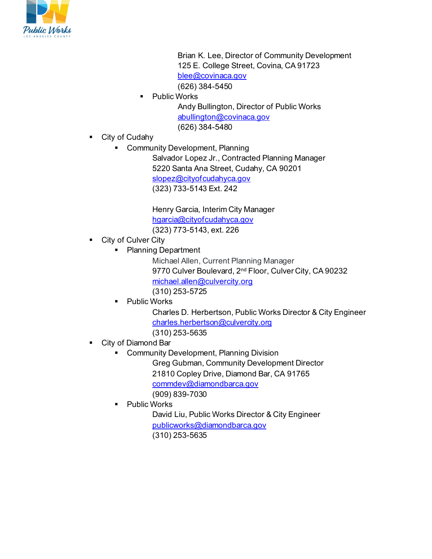

Brian K. Lee, Director of Community Development 125 E. College Street, Covina, CA 91723 [blee@covinaca.gov](mailto:blee@covinaca.gov)

(626) 384-5450

Public Works

Andy Bullington, Director of Public Works [abullington@covinaca.gov](mailto:abullington@covinaca.gov) (626) 384-5480

- City of Cudahy
	- Community Development, Planning
		- Salvador Lopez Jr., Contracted Planning Manager 5220 Santa Ana Street, Cudahy, CA 90201 [slopez@cityofcudahyca.gov](mailto:slopez@cityofcudahyca.gov) (323) 733-5143 Ext. 242

Henry Garcia, Interim City Manager [hgarcia@cityofcudahyca.gov](mailto:hgarcia@cityofcudahyca.gov) (323) 773-5143, ext. 226

- **City of Culver City** 
	- Planning Department

Michael Allen, Current Planning Manager 9770 Culver Boulevard, 2<sup>nd</sup> Floor, Culver City, CA 90232 [michael.allen@culvercity.org](mailto:michael.allen@culvercity.org) (310) 253-5725

Public Works

Charles D. Herbertson, Public Works Director & City Engineer [charles.herbertson@culvercity.org](mailto:charles.herbertson@culvercity.org) (310) 253-5635

- City of Diamond Bar
	- **Community Development, Planning Division** Greg Gubman, Community Development Director

21810 Copley Drive, Diamond Bar, CA 91765

[commdev@diamondbarca.gov](mailto:commdev@diamondbarca.gov)

(909) 839-7030

Public Works

David Liu, Public Works Director & City Engineer [publicworks@diamondbarca.gov](mailto:publicworks@diamondbarca.gov) (310) 253-5635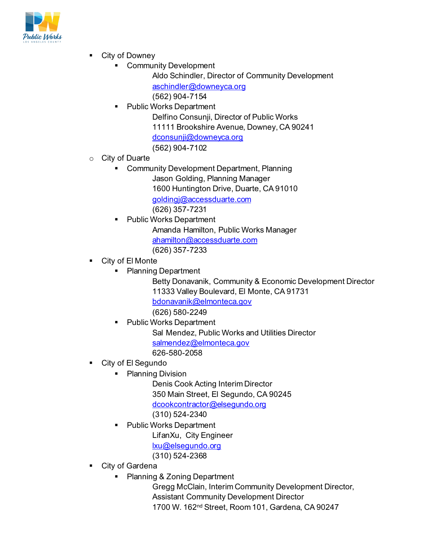

- City of Downey
	- Community Development
		- Aldo Schindler, Director of Community Development [aschindler@downeyca.org](mailto:aschindler@downeyca.org) (562) 904-7154
		- Public Works Department Delfino Consunji, Director of Public Works 11111 Brookshire Avenue, Downey, CA 90241 [dconsunji@downeyca.org](mailto:dconsunji@downeyca.org) (562) 904-7102
- o City of Duarte
	- **Community Development Department, Planning** Jason Golding, Planning Manager 1600 Huntington Drive, Duarte, CA 91010 [goldingj@accessduarte.com](mailto:goldingj@accessduarte.com) (626) 357-7231
	- Public Works Department
		- Amanda Hamilton, Public Works Manager [ahamilton@accessduarte.com](mailto:ahamilton@accessduarte.com) (626) 357-7233
- City of El Monte
	- Planning Department
		- Betty Donavanik, Community & Economic Development Director 11333 Valley Boulevard, El Monte, CA 91731 [bdonavanik@elmonteca.gov](mailto:bdonavanik@elmonteca.gov) (626) 580-2249
		- Public Works Department Sal Mendez, Public Works and Utilities Director [salmendez@elmonteca.gov](mailto:salmendez@elmonteca.gov) 626-580-2058
- City of El Segundo
	- Planning Division
		- Denis Cook Acting Interim Director 350 Main Street, El Segundo, CA 90245 [dcookcontractor@elsegundo.org](mailto:dcookcontractor@elsegundo.org) (310) 524-2340
	- Public Works Department LifanXu, City Engineer [lxu@elsegundo.org](mailto:mwatkins@elsegundo.org) (310) 524-2368
- City of Gardena
	- Planning & Zoning Department
		- Gregg McClain, Interim Community Development Director, Assistant Community Development Director 1700 W. 162nd Street, Room 101, Gardena, CA 90247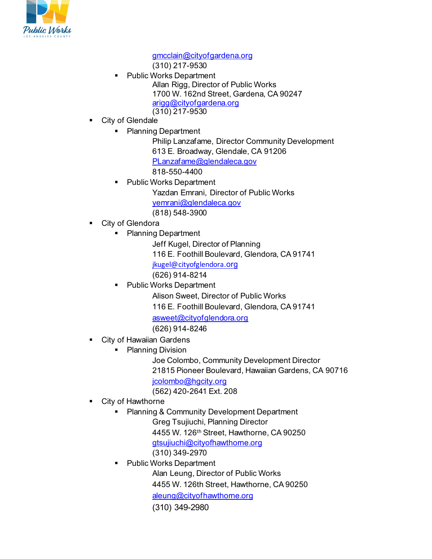

[gmcclain@cityofgardena.org](mailto:gmcclain@cityofgardena.org)

(310) 217-9530

- Public Works Department Allan Rigg, Director of Public Works 1700 W. 162nd Street, Gardena, CA 90247 [arigg@cityofgardena.org](mailto:kkwak@cityofgardena.org) (310) 217-9530
- City of Glendale
	- Planning Department
		- Philip Lanzafame, Director Community Development 613 E. Broadway, Glendale, CA 91206 [PLanzafame@glendaleca.gov](mailto:PLanzafame@glendaleca.gov) 818-550-4400
		- Public Works Department Yazdan Emrani, Director of Public Works [yemrani@glendaleca.gov](mailto:yemrani@glendaleca.gov) (818) 548-3900
- City of Glendora
	- Planning Department
		- Jeff Kugel, Director of Planning 116 E. Foothill Boulevard, Glendora, CA 91741 [jkugel@cityofglendora](mailto:jkugel@cityofglendora.org)[.org](mailto:jkugel@cityofglendora.org) (626) 914-8214
	- Public Works Department
		- Alison Sweet, Director of Public Works
		- 116 E. Foothill Boulevard, Glendora, CA 91741

[asweet@cityofglendora.org](mailto:asweet@cityofglendora.org)

(626) 914-8246

- **City of Hawaiian Gardens** 
	- Planning Division
		- Joe Colombo, Community Development Director 21815 Pioneer Boulevard, Hawaiian Gardens, CA 90716 [jcolombo@hgcity.org](mailto:jcolombo@hgcity.org) (562) 420-2641 Ext. 208
- City of Hawthorne
	- Planning & Community Development Department Greg Tsujiuchi, Planning Director 4455 W. 126th Street, Hawthorne, CA 90250 [gtsujiuchi@cityofhawthorne.org](mailto:gtsujiuchi@cityofhawthorne.org) (310) 349-2970
	- Public Works Department

Alan Leung, Director of Public Works

4455 W. 126th Street, Hawthorne, CA 90250

[aleung@cityofhawthorne.org](mailto:aleung@cityofhawthorne.org)

(310) 349-2980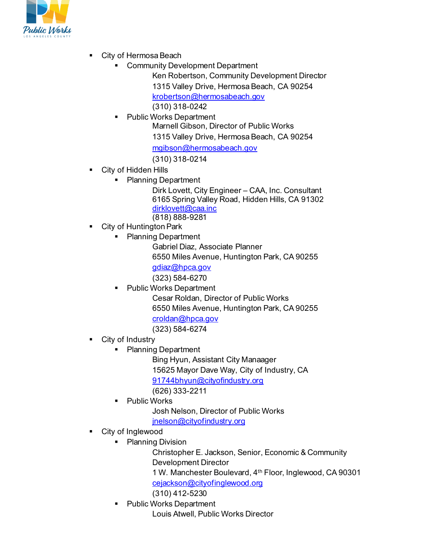

- City of Hermosa Beach
	- Community Development Department
		- Ken Robertson, Community Development Director 1315 Valley Drive, Hermosa Beach, CA 90254 [krobertson@hermosabeach.gov](mailto:krobertson@hermosabeach.gov) (310) 318-0242
	- Public Works Department
		- Marnell Gibson, Director of Public Works 1315 Valley Drive, Hermosa Beach, CA 90254

[mgibson@hermosabeach.gov](mailto:mgibson@hermosabeach.gov)

(310) 318-0214

- City of Hidden Hills
	- Planning Department

Dirk Lovett, City Engineer – CAA, Inc. Consultant 6165 Spring Valley Road, Hidden Hills, CA 91302 [dirklovett@caa.inc](mailto:dirklovett@caa.inc) (818) 888-9281

- City of Huntington Park
	- Planning Department
		- Gabriel Diaz, Associate Planner
		- 6550 Miles Avenue, Huntington Park, CA 90255 [gdiaz@hpca.gov](mailto:gdiaz@hpca.gov)
		- (323) 584-6270
		- Public Works Department
			- Cesar Roldan, Director of Public Works 6550 Miles Avenue, Huntington Park, CA 90255 [croldan@hpca.gov](mailto:croldan@hpca.gov)

(323) 584-6274

- City of Industry
	- Planning Department

Bing Hyun, Assistant City Manaager 15625 Mayor Dave Way, City of Industry, CA [91744bhyun@cityofindustry.org](mailto:91744bhyun@cityofindustry.org) (626) 333-2211

Public Works

Josh Nelson, Director of Public Works

[jnelson@cityofindustry.org](mailto:jnelson@cityofindustry.org)

- City of Inglewood
	- Planning Division

Christopher E. Jackson, Senior, Economic & Community Development Director 1 W. Manchester Boulevard, 4th Floor, Inglewood, CA 90301

[cejackson@cityofinglewood.org](mailto:cejackson@cityofinglewood.org)

(310) 412-5230

 Public Works Department Louis Atwell, Public Works Director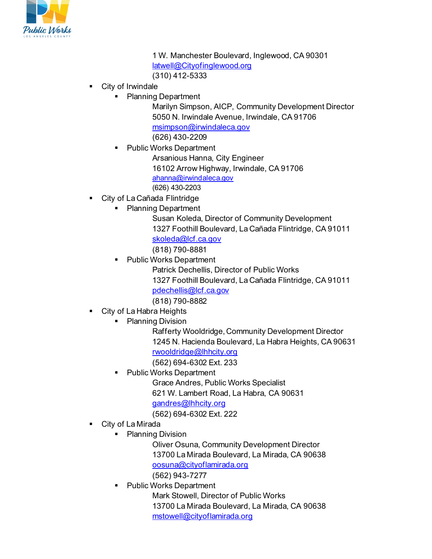

1 W. Manchester Boulevard, Inglewood, CA 90301 [latwell@Cityofinglewood.org](mailto:latwell@Cityofinglewood.org) (310) 412-5333

- City of Irwindale
	- Planning Department

Marilyn Simpson, AICP, Community Development Director 5050 N. Irwindale Avenue, Irwindale, CA 91706 [msimpson@irwindaleca.gov](mailto:msimpson@irwindaleca.gov)

(626) 430-2209

Public Works Department

Arsanious Hanna, City Engineer 16102 Arrow Highway, Irwindale, CA 91706 [ahanna@irwindaleca.gov](mailto:ahanna@irwindaleca.gov) (626) 430-2203

- City of La Cañada Flintridge
	- Planning Department

Susan Koleda, Director of Community Development 1327 Foothill Boulevard, La Cañada Flintridge, CA 91011

[skoleda@lcf.ca.gov](mailto:skoleda@lcf.ca.gov)

(818) 790-8881

Public Works Department

Patrick Dechellis, Director of Public Works 1327 Foothill Boulevard, La Cañada Flintridge, CA 91011

[pdechellis@lcf.ca.gov](mailto:pdechellis@lcf.ca.gov)

(818) 790-8882

- City of La Habra Heights
	- Planning Division

Rafferty Wooldridge, Community Development Director 1245 N. Hacienda Boulevard, La Habra Heights, CA 90631 [rwooldridge@lhhcity.org](mailto:rwooldridge@lhhcity.org)

(562) 694-6302 Ext. 233

Public Works Department

Grace Andres, Public Works Specialist 621 W. Lambert Road, La Habra, CA 90631 [gandres@lhhcity.org](mailto:gandres@lhhcity.org) (562) 694-6302 Ext. 222

- City of La Mirada
	- Planning Division

Oliver Osuna, Community Development Director 13700 La Mirada Boulevard, La Mirada, CA 90638 [oosuna@cityoflamirada.org](mailto:oosuna@cityoflamirada.org) (562) 943-7277

Public Works Department

Mark Stowell, Director of Public Works 13700 La Mirada Boulevard, La Mirada, CA 90638 [mstowell@cityoflamirada.org](mailto:mstowell@cityoflamirada.org)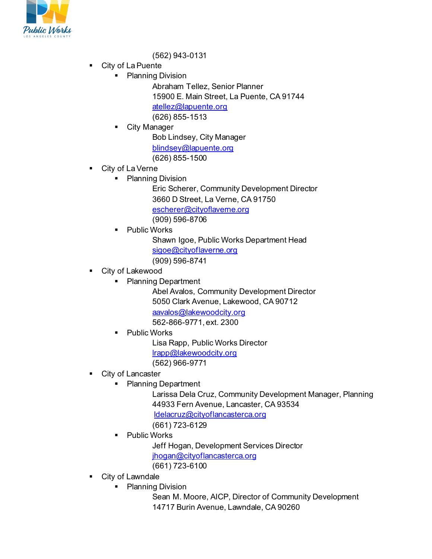

### (562) 943-0131

- City of La Puente
	- Planning Division

Abraham Tellez, Senior Planner 15900 E. Main Street, La Puente, CA 91744 [atellez@lapuente.org](mailto:atellez@lapuente.org) (626) 855-1513

City Manager

Bob Lindsey, City Manager [blindsey@lapuente.org](mailto:blindsey@lapuente.org) (626) 855-1500

- City of La Verne
	- Planning Division

Eric Scherer, Community Development Director 3660 D Street, La Verne, CA 91750 [escherer@cityoflaverne.org](mailto:escherer@cityoflaverne.org) (909) 596-8706

Public Works

Shawn Igoe, Public Works Department Head [sigoe@cityoflaverne.org](mailto:sigoe@cityoflaverne.org) (909) 596-8741

- City of Lakewood
	- Planning Department

Abel Avalos, Community Development Director 5050 Clark Avenue, Lakewood, CA 90712 [aavalos@lakewoodcity.org](mailto:aavalos@lakewoodcity.org) 562-866-9771, ext. 2300

**•** Public Works

Lisa Rapp, Public Works Director [lrapp@lakewoodcity.org](mailto:lrapp@lakewoodcity.org) (562) 966-9771

- **City of Lancaster** 
	- **Planning Department**

Larissa Dela Cruz, Community Development Manager, Planning 44933 Fern Avenue, Lancaster, CA 93534 [ldelacruz@cityoflancasterca.org](mailto:ldelacruz@cityoflancasterca.org)

- (661) 723-6129
- Public Works

Jeff Hogan, Development Services Director

- [jhogan@cityoflancasterca.org](mailto:jhogan@cityoflancasterca.org)
- (661) 723-6100
- City of Lawndale
	- Planning Division
		- Sean M. Moore, AICP, Director of Community Development 14717 Burin Avenue, Lawndale, CA 90260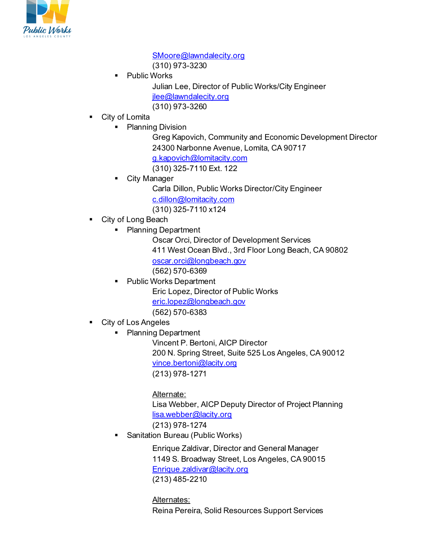

[SMoore@lawndalecity.org](mailto:SMoore@lawndalecity.org) (310) 973-3230

- Public Works Julian Lee, Director of Public Works/City Engineer [jlee@lawndalecity.org](mailto:jlee@lawndalecity.org) (310) 973-3260
- City of Lomita
	- Planning Division
		- Greg Kapovich, Community and Economic Development Director 24300 Narbonne Avenue, Lomita, CA 90717 [g.kapovich@lomitacity.com](mailto:g.kapovich@lomitacity.com)
		- (310) 325-7110 Ext. 122
		- City Manager
			- Carla Dillon, Public Works Director/City Engineer [c.dillon@lomitacity.com](mailto:c.dillon@lomitacity.com)
			- (310) 325-7110 x124
- City of Long Beach
	- Planning Department
		- Oscar Orci, Director of Development Services 411 West Ocean Blvd., 3rd Floor Long Beach, CA 90802 [oscar.orci@longbeach.gov](mailto:oscar.orci@longbeach.gov) (562) 570-6369
		- Public Works Department Eric Lopez, Director of Public Works [eric.lopez@longbeach.gov](mailto:eric.lopez@longbeach.gov) (562) 570-6383
- City of Los Angeles
	- Planning Department
		- Vincent P. Bertoni, AICP Director 200 N. Spring Street, Suite 525 Los Angeles, CA 90012 [vince.bertoni@lacity.org](mailto:vince.bertoni@lacity.org) (213) 978-1271

## Alternate:

Lisa Webber, AICP Deputy Director of Project Planning [lisa.webber@lacity.org](mailto:lisa.webber@lacity.org)

(213) 978-1274

Sanitation Bureau (Public Works)

Enrique Zaldivar, Director and General Manager 1149 S. Broadway Street, Los Angeles, CA 90015 [Enrique.zaldivar@lacity.org](mailto:Enrique.zaldivar@lacity.org) (213) 485-2210

### Alternates:

Reina Pereira, Solid Resources Support Services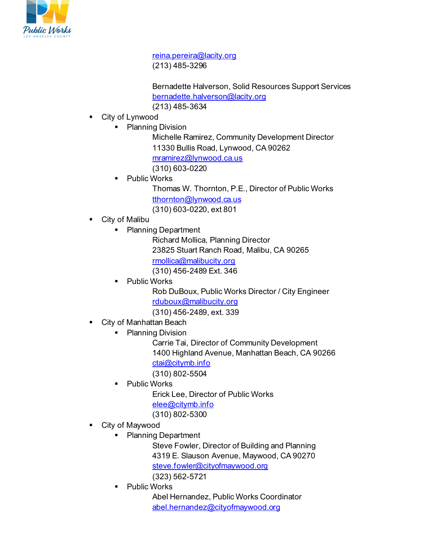

[reina.pereira@lacity.org](mailto:reina.pereira@lacity.org) (213) 485-3296

Bernadette Halverson, Solid Resources Support Services [bernadette.halverson@lacity.org](mailto:bernadette.halverson@lacity.org) (213) 485-3634

- City of Lynwood
	- Planning Division

Michelle Ramirez, Community Development Director 11330 Bullis Road, Lynwood, CA 90262 [mramirez@lynwood.ca.us](mailto:mramirez@lynwood.ca.us) (310) 603-0220

Public Works

Thomas W. Thornton, P.E., Director of Public Works [tthornton@lynwood.ca.us](mailto:tthornton@lynwood.ca.us) (310) 603-0220, ext 801

- City of Malibu
	- Planning Department

Richard Mollica, Planning Director 23825 Stuart Ranch Road, Malibu, CA 90265 [rmollica@malibucity.org](mailto:rmollica@malibucity.org) (310) 456-2489 Ext. 346

 Public Works Rob DuBoux, Public Works Director / City Engineer [rduboux@malibucity.org](mailto:rduboux@malibucity.org)

(310) 456-2489, ext. 339

- City of Manhattan Beach
	- Planning Division

Carrie Tai, Director of Community Development 1400 Highland Avenue, Manhattan Beach, CA 90266 [ctai@citymb.info](mailto:ctai@citymb.info) (310) 802-5504

Public Works

Erick Lee, Director of Public Works [elee@citymb.info](mailto:elee@citymb.info) (310) 802-5300

- City of Maywood
	- Planning Department

Steve Fowler, Director of Building and Planning 4319 E. Slauson Avenue, Maywood, CA 90270 [steve.fowler@cityofmaywood.org](mailto:steve.fowler@cityofmaywood.org) (323) 562-5721

Public Works

Abel Hernandez, Public Works Coordinator [abel.hernandez@cityofmaywood.org](mailto:abel.hernandez@cityofmaywood.org)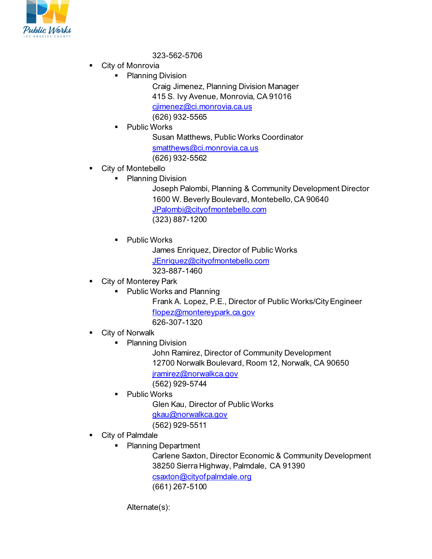

323-562-5706

- City of Monrovia
	- Planning Division

Craig Jimenez, Planning Division Manager 415 S. Ivy Avenue, Monrovia, CA 91016 [cjimenez@ci.monrovia.ca.us](mailto:cjimenez@ci.monrovia.ca.us) (626) 932-5565

Public Works

Susan Matthews, Public Works Coordinator [smatthews@ci.monrovia.ca.us](mailto:smatthews@ci.monrovia.ca.us) (626) 932-5562

- **•** City of Montebello
	- Planning Division

Joseph Palombi, Planning & Community Development Director 1600 W. Beverly Boulevard, Montebello, CA 90640 [JPalombi@cityofmontebello.com](mailto:JPalombi@cityofmontebello.com) (323) 887-1200

Public Works

James Enriquez, Director of Public Works [JEnriquez@cityofmontebello.com](mailto:JEnriquez@cityofmontebello.com) 323-887-1460

City of Monterey Park

**Public Works and Planning** 

Frank A. Lopez, P.E., Director of Public Works/City Engineer [flopez@montereypark.ca.gov](mailto:flopez@montereypark.ca.gov)

626-307-1320

- City of Norwalk
	- Planning Division

John Ramirez, Director of Community Development 12700 Norwalk Boulevard, Room 12, Norwalk, CA 90650 [jramirez@norwalkca.gov](mailto:jramirez@norwalkca.gov)

(562) 929-5744

Public Works

Glen Kau, Director of Public Works

[gkau@norwalkca.gov](mailto:gkau@norwalkca.gov)

(562) 929-5511

- City of Palmdale
	- Planning Department

Carlene Saxton, Director Economic & Community Development 38250 Sierra Highway, Palmdale, CA 91390 [csaxton@cityofpalmdale.org](mailto:csaxton@cityofpalmdale.org) (661) 267-5100

Alternate(s):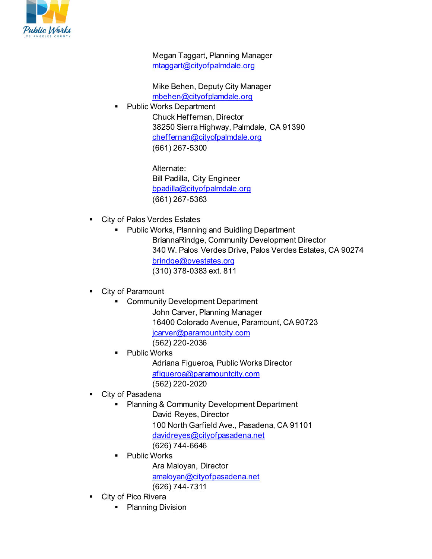

Megan Taggart, Planning Manager [mtaggart@cityofpalmdale.org](mailto:mtaggart@cityofpalmdale.org)

Mike Behen, Deputy City Manager [mbehen@cityofplamdale.org](mailto:mbehen@cityofplamdale.org)

Public Works Department

Chuck Heffernan, Director 38250 Sierra Highway, Palmdale, CA 91390 [cheffernan@cityofpalmdale.org](mailto:cheffernan@cityofpalmdale.org) (661) 267-5300

> Alternate: Bill Padilla, City Engineer [bpadilla@cityofpalmdale.org](mailto:bpadilla@cityofpalmdale.org) (661) 267-5363

- **City of Palos Verdes Estates** 
	- Public Works, Planning and Buidling Department BriannaRindge, Community Development Director 340 W. Palos Verdes Drive, Palos Verdes Estates, CA 90274 [brindge@pvestates.org](mailto:brindge@pvestates.org) (310) 378-0383 ext. 811

• City of Paramount

- **EXEDENT** Community Development Department
	- John Carver, Planning Manager 16400 Colorado Avenue, Paramount, CA 90723 [jcarver@paramountcity.com](mailto:jcarver@paramountcity.com) (562) 220-2036
	- Public Works Adriana Figueroa, Public Works Director [afigueroa@paramountcity.com](mailto:afigueroa@paramountcity.com) (562) 220-2020
- City of Pasadena
	- Planning & Community Development Department David Reyes, Director
		- 100 North Garfield Ave., Pasadena, CA 91101
		- [davidreyes@cityofpasadena.net](mailto:davidreyes@cityofpasadena.net)
		- (626) 744-6646
		- Public Works Ara Maloyan, Director [amaloyan@cityofpasadena.net](mailto:amaloyan@cityofpasadena.net) (626) 744-7311
- **City of Pico Rivera** 
	- Planning Division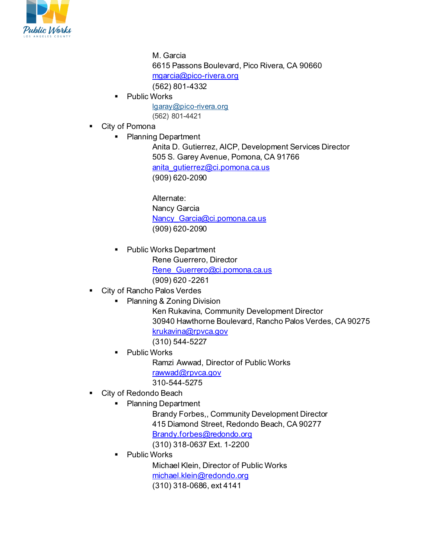

M. Garcia 6615 Passons Boulevard, Pico Rivera, CA 90660 [mgarcia@pico-rivera.org](mailto:mgarcia@pico-rivera.org) (562) 801-4332 Public Works

- [lgaray@pico-rivera.org](mailto:lgaray@pico-rivera.org) (562) 801-4421
- City of Pomona
	- Planning Department

Anita D. Gutierrez, AICP, Development Services Director 505 S. Garey Avenue, Pomona, CA 91766 [anita\\_gutierrez@ci.pomona.ca.us](mailto:anita_gutierrez@ci.pomona.ca.us) (909) 620-2090

Alternate: Nancy Garcia Nancy Garcia@ci.pomona.ca.us (909) 620-2090

- Public Works Department Rene Guerrero, Director [Rene\\_Guerrero@ci.pomona.ca.us](mailto:Rene_Guerrero@ci.pomona.ca.us) (909) 620 -2261
- **EXECT** City of Rancho Palos Verdes
	- Planning & Zoning Division

Ken Rukavina, Community Development Director 30940 Hawthorne Boulevard, Rancho Palos Verdes, CA 90275 [krukavina@rpvca.gov](mailto:krukavina@rpvca.gov)

(310) 544-5227

 Public Works Ramzi Awwad, Director of Public Works [rawwad@rpvca.gov](mailto:rawwad@rpvca.gov)

310-544-5275

- City of Redondo Beach
	- Planning Department

Brandy Forbes,, Community Development Director 415 Diamond Street, Redondo Beach, CA 90277

[Brandy.forbes@redondo.org](mailto:Brandy.forbes@redondo.org)

(310) 318-0637 Ext. 1-2200

Public Works

Michael Klein, Director of Public Works [michael.klein@redondo.org](mailto:michael.klein@redondo.org) (310) 318-0686, ext 4141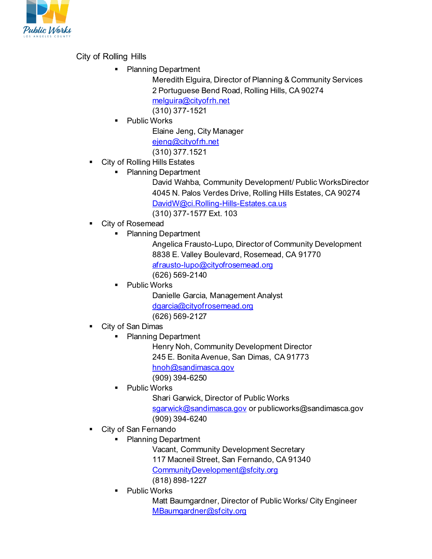

City of Rolling Hills

Planning Department

Meredith Elguira, Director of Planning & Community Services 2 Portuguese Bend Road, Rolling Hills, CA 90274 [melguira@cityofrh.net](mailto:melguira@cityofrh.net) (310) 377-1521

Public Works

Elaine Jeng, City Manager

[ejeng@cityofrh.net](mailto:ejeng@cityofrh.net)

- (310) 377.1521
- **City of Rolling Hills Estates** 
	- Planning Department

David Wahba, Community Development/ Public WorksDirector 4045 N. Palos Verdes Drive, Rolling Hills Estates, CA 90274 [DavidW@ci.Rolling-Hills-Estates.ca.us](mailto:DavidW@ci.Rolling-Hills-Estates.ca.us) (310) 377-1577 Ext. 103

- City of Rosemead
	- Planning Department

Angelica Frausto-Lupo, Director of Community Development 8838 E. Valley Boulevard, Rosemead, CA 91770 [afrausto-lupo@cityofrosemead.org](mailto:afrausto-lupo@cityofrosemead.org) (626) 569-2140

Public Works

Danielle Garcia, Management Analyst [dgarcia@cityofrosemead.org](mailto:dgarcia@cityofrosemead.org) (626) 569-2127

- City of San Dimas
	- Planning Department

Henry Noh, Community Development Director

- 245 E. Bonita Avenue, San Dimas, CA 91773
- [hnoh@sandimasca.gov](mailto:hnoh@sandimasca.gov)

(909) 394-6250

Public Works

Shari Garwick, Director of Public Works

[sgarwick@sandimasca.gov](mailto:sgarwick@sandimasca.gov)</u> or publicworks@sandimasca.gov

- (909) 394-6240
- City of San Fernando
	- Planning Department

Vacant, Community Development Secretary

117 Macneil Street, San Fernando, CA 91340

[CommunityDevelopment@sfcity.org](mailto:CommunityDevelopment@sfcity.org)

(818) 898-1227

Public Works

Matt Baumgardner, Director of Public Works/ City Engineer [MBaumgardner@sfcity.org](mailto:MBaumgardner@sfcity.org)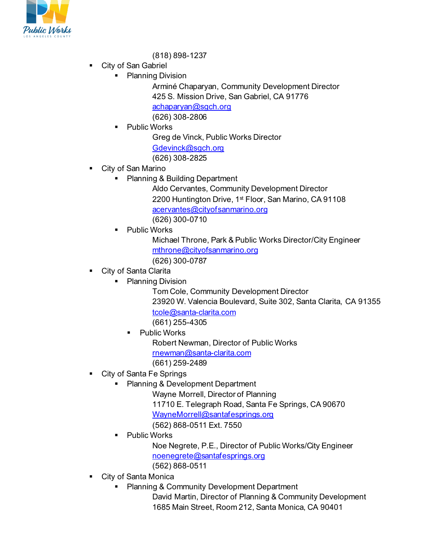

- (818) 898-1237
- City of San Gabriel
	- Planning Division

Arminé Chaparyan, Community Development Director 425 S. Mission Drive, San Gabriel, CA 91776 [achaparyan@sgch.org](mailto:achaparyan@sgch.org) (626) 308-2806

Public Works

Greg de Vinck, Public Works Director

[Gdevinck@sgch.org](mailto:Gdevinck@sgch.org)

(626) 308-2825

- **City of San Marino** 
	- Planning & Building Department

Aldo Cervantes, Community Development Director 2200 Huntington Drive, 1<sup>st</sup> Floor, San Marino, CA 91108 [acervantes@cityofsanmarino.org](mailto:acervantes@cityofsanmarino.org) (626) 300-0710

Public Works

Michael Throne, Park & Public Works Director/City Engineer [mthrone@cityofsanmarino.org](mailto:mthrone@cityofsanmarino.org) (626) 300-0787

- City of Santa Clarita
	- Planning Division

Tom Cole, Community Development Director 23920 W. Valencia Boulevard, Suite 302, Santa Clarita, CA 91355 [tcole@santa-clarita.com](mailto:tcole@santa-clarita.com)

(661) 255-4305

Public Works

Robert Newman, Director of Public Works

[rnewman@santa-clarita.com](mailto:rnewman@santa-clarita.com)

(661) 259-2489

- City of Santa Fe Springs
	- **Planning & Development Department**

Wayne Morrell, Director of Planning

11710 E. Telegraph Road, Santa Fe Springs, CA 90670 [WayneMorrell@santafesprings.org](mailto:WayneMorrell@santafesprings.org)

- (562) 868-0511 Ext. 7550
- Public Works

Noe Negrete, P.E., Director of Public Works/City Engineer [noenegrete@santafesprings.org](mailto:noenegrete@santafesprings.org) (562) 868-0511

- 
- City of Santa Monica
	- **Planning & Community Development Department**

David Martin, Director of Planning & Community Development 1685 Main Street, Room 212, Santa Monica, CA 90401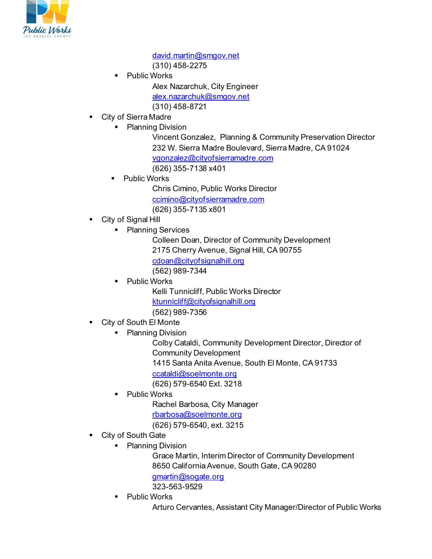

[david.martin@smgov.net](mailto:david.martin@smgov.net) (310) 458-2275

- Public Works Alex Nazarchuk, City Engineer [alex.nazarchuk@smgov.net](mailto:alex.nazarchuk@smgov.net) (310) 458-8721
- City of Sierra Madre
	- Planning Division
		- Vincent Gonzalez, Planning & Community Preservation Director 232 W. Sierra Madre Boulevard, Sierra Madre, CA 91024 [vgonzalez@cityofsierramadre.com](mailto:vgonzalez@cityofsierramadre.com) (626) 355-7138 x401
		- **•** Public Works
			- Chris Cimino, Public Works Director [ccimino@cityofsierramadre.com](mailto:ccimino@cityofsierramadre.com)

(626) 355-7135 x801

- City of Signal Hill
	- Planning Services

Colleen Doan, Director of Community Development 2175 Cherry Avenue, Signal Hill, CA 90755 [cdoan@cityofsignalhill.org](mailto:cdoan@cityofsignalhill.org) (562) 989-7344

Public Works

Kelli Tunnicliff, Public Works Director [ktunnicliff@cityofsignalhill.org](mailto:ktunnicliff@cityofsignalhill.org)

(562) 989-7356

- City of South El Monte
	- Planning Division

Colby Cataldi, Community Development Director, Director of Community Development

1415 Santa Anita Avenue, South El Monte, CA 91733

[ccataldi@soelmonte.org](mailto:ccataldi@soelmonte.org)

(626) 579-6540 Ext. 3218

Public Works

Rachel Barbosa, City Manager [rbarbosa@soelmonte.org](mailto:rbarbosa@soelmonte.org)

(626) 579-6540, ext. 3215

- City of South Gate
	- Planning Division

Grace Martin, Interim Director of Community Development 8650 California Avenue, South Gate, CA 90280

[gmartin@sogate.org](mailto:gmartin@sogate.org)

323-563-9529

**-** Public Works

Arturo Cervantes, Assistant City Manager/Director of Public Works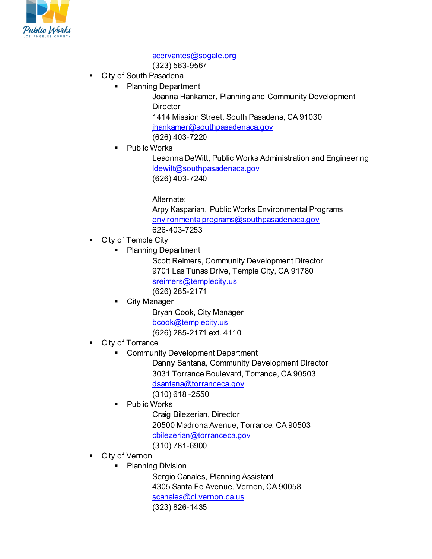

#### [acervantes@sogate.org](mailto:acervantes@sogate.org)

(323) 563-9567

- **City of South Pasadena** 
	- Planning Department

Joanna Hankamer, Planning and Community Development **Director** 1414 Mission Street, South Pasadena, CA 91030 [jhankamer@southpasadenaca.gov](mailto:jhankamer@southpasadenaca.gov)

(626) 403-7220

• Public Works

Leaonna DeWitt, Public Works Administration and Engineering [ldewitt@southpasadenaca.gov](mailto:ldewitt@southpasadenaca.gov) (626) 403-7240

Alternate:

Arpy Kasparian, Public Works Environmental Programs [environmentalprograms@southpasadenaca.gov](mailto:environmentalprograms@southpasadenaca.gov) 626-403-7253

- **•** City of Temple City
	- Planning Department

Scott Reimers, Community Development Director 9701 Las Tunas Drive, Temple City, CA 91780 [sreimers@templecity.us](mailto:sreimers@templecity.us) (626) 285-2171

City Manager

Bryan Cook, City Manager [bcook@templecity.us](mailto:bcook@templecity.us) (626) 285-2171 ext. 4110

- City of Torrance
	- **EXECOMMUNITY Development Department**

Danny Santana, Community Development Director 3031 Torrance Boulevard, Torrance, CA 90503

[dsantana@torranceca.gov](mailto:dsantana@torranceca.gov) 

(310) 618 -2550

Public Works

Craig Bilezerian, Director

20500 Madrona Avenue, Torrance, CA 90503

- [cbilezerian@torranceca.gov](mailto:cbilezerian@torranceca.gov)
- (310) 781-6900
- City of Vernon
	- Planning Division

Sergio Canales, Planning Assistant 4305 Santa Fe Avenue, Vernon, CA 90058 [scanales@ci.vernon.ca.us](mailto:scanales@ci.vernon.ca.us) (323) 826-1435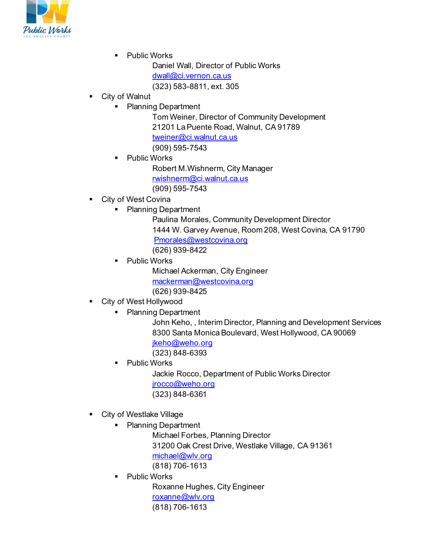

• Public Works

Daniel Wall, Director of Public Works [dwall@ci.vernon.ca.us](mailto:dwall@ci.vernon.ca.us) (323) 583-8811, ext. 305

## City of Walnut

• Planning Department

Tom Weiner, Director of Community Development 21201 La Puente Road, Walnut, CA 91789 [tweiner@ci.walnut.ca.us](mailto:tweiner@ci.walnut.ca.us) (909) 595-7543

Public Works

Robert M.Wishnerm, City Manager

[rwishnerm@ci.walnut.ca.us](mailto:rwishnerm@ci.walnut.ca.us)

(909) 595-7543

- City of West Covina
	- Planning Department

Paulina Morales, Community Development Director 1444 W. Garvey Avenue, Room 208, West Covina, CA 91790 [Pmorales@westcovina.org](mailto:Pmorales@westcovina.org) (626) 939-8422

Public Works

Michael Ackerman, City Engineer [mackerman@westcovina.org](mailto:mackerman@westcovina.org) (626) 939-8425

- City of West Hollywood
	- Planning Department
		- John Keho, , Interim Director, Planning and Development Services 8300 Santa Monica Boulevard, West Hollywood, CA 90069 ikeho@weho.org (323) 848-6393
		- Public Works

Jackie Rocco, Department of Public Works Director [jrocco@weho.org](mailto:jrocco@weho.org) (323) 848-6361

- **City of Westlake Village** 
	- **Planning Department**

Michael Forbes, Planning Director 31200 Oak Crest Drive, Westlake Village, CA 91361 [michael@wlv.org](mailto:michael@wlv.org) (818) 706-1613

Public Works

Roxanne Hughes, City Engineer [roxanne@wlv.org](mailto:roxanne@wlv.org) (818) 706-1613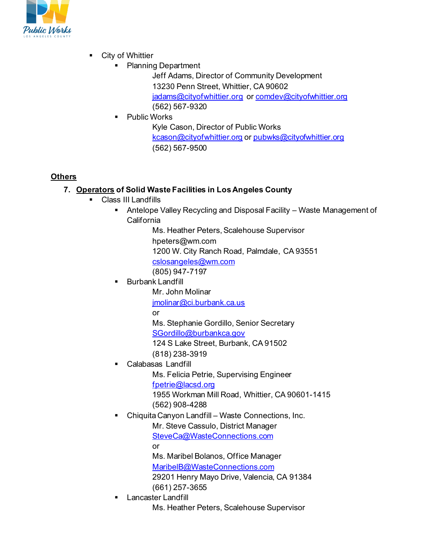

- City of Whittier
	- Planning Department

Jeff Adams, Director of Community Development 13230 Penn Street, Whittier, CA 90602 [jadams@cityofwhittier.org](mailto:jadams@cityofwhittier.org) o[r comdev@cityofwhittier.org](mailto:comdev@cityofwhittier.org) (562) 567-9320

**•** Public Works

Kyle Cason, Director of Public Works [kcason@cityofwhittier.org](mailto:kcason@cityofwhittier.org) o[r pubwks@cityofwhittier.org](mailto:pubwks@cityofwhittier.org) (562) 567-9500

# **Others**

# **7. Operators of Solid Waste Facilities in Los Angeles County**

- Class III Landfills
	- Antelope Valley Recycling and Disposal Facility Waste Management of California

Ms. Heather Peters, Scalehouse Supervisor hpeters@wm.com

1200 W. City Ranch Road, Palmdale, CA 93551

[cslosangeles@wm.com](mailto:cslosangeles@wm.com) 

(805) 947-7197

Burbank Landfill

Mr. John Molinar

[jmolinar@ci.burbank.ca.us](mailto:jmolinar@ci.burbank.ca.us)

or

- Ms. Stephanie Gordillo, Senior Secretary
- [SGordillo@burbankca.gov](mailto:SGordillo@burbankca.gov)
- 124 S Lake Street, Burbank, CA 91502
- (818) 238-3919
- Calabasas Landfill

Ms. Felicia Petrie, Supervising Engineer

[fpetrie@lacsd.org](mailto:fpetrie@lacsd.org)

1955 Workman Mill Road, Whittier, CA 90601-1415 (562) 908-4288

Chiquita Canyon Landfill – Waste Connections, Inc.

Mr. Steve Cassulo, District Manager [SteveCa@WasteConnections.com](mailto:SteveCa@WasteConnections.com)

or

Ms. Maribel Bolanos, Office Manager

[MaribelB@WasteConnections.com](mailto:MaribelB@WasteConnections.com)

29201 Henry Mayo Drive, Valencia, CA 91384 (661) 257-3655

Lancaster Landfill

Ms. Heather Peters, Scalehouse Supervisor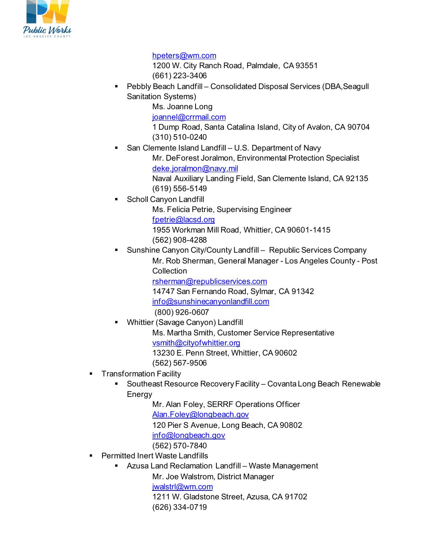

#### [hpeters@wm.com](mailto:hpeters@wm.com)

1200 W. City Ranch Road, Palmdale, CA 93551 (661) 223-3406

 Pebbly Beach Landfill – Consolidated Disposal Services (DBA,Seagull Sanitation Systems)

Ms. Joanne Long

[joannel@crrmail.com](mailto:joannel@crrmail.com)

1 Dump Road, Santa Catalina Island, City of Avalon, CA 90704 (310) 510-0240

 San Clemente Island Landfill – U.S. Department of Navy Mr. DeForest Joralmon, Environmental Protection Specialist [deke.joralmon@navy.mil](mailto:deke.joralmon@navy.mil)

Naval Auxiliary Landing Field, San Clemente Island, CA 92135 (619) 556-5149

Scholl Canyon Landfill

Ms. Felicia Petrie, Supervising Engineer

[fpetrie@lacsd.org](mailto:fpetrie@lacsd.org)

- 1955 Workman Mill Road, Whittier, CA 90601-1415
- (562) 908-4288
- Sunshine Canyon City/County Landfill Republic Services Company Mr. Rob Sherman, General Manager - Los Angeles County - Post **Collection**

[rsherman@republicservices.com](mailto:rsherman@republicservices.com)

14747 San Fernando Road, Sylmar, CA 91342

[info@sunshinecanyonlandfill.com](mailto:info@sunshinecanyonlandfill.com) 

(800) 926-0607

- Whittier (Savage Canyon) Landfill Ms. Martha Smith, Customer Service Representative [vsmith@cityofwhittier.org](mailto:vsmith@cityofwhittier.org) 13230 E. Penn Street, Whittier, CA 90602 (562) 567-9506
- **Transformation Facility** 
	- **Southeast Resource Recovery Facility Covanta Long Beach Renewable** Energy

Mr. Alan Foley, SERRF Operations Officer

[Alan.Foley@longbeach.gov](mailto:Alan.Foley@longbeach.gov)

120 Pier S Avenue, Long Beach, CA 90802

- [info@longbeach.gov](mailto:info@longbeach.gov)
- (562) 570-7840
- **Permitted Inert Waste Landfills** 
	- **Azusa Land Reclamation Landfill Waste Management**

Mr. Joe Walstrom, District Manager [jwalstrl@wm.com](mailto:jwalstrl@wm.com) 1211 W. Gladstone Street, Azusa, CA 91702 (626) 334-0719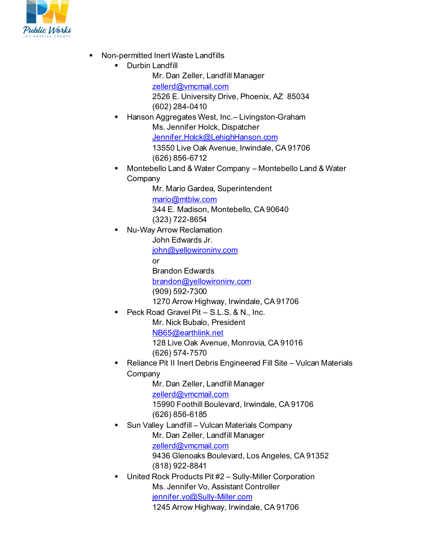

- **Non-permitted Inert Waste Landfills** 
	- **-** Durbin Landfill
		- Mr. Dan Zeller, Landfill Manager
		- [zellerd@vmcmail.com](mailto:zellerd@vmcmail.com)
		- 2526 E. University Drive, Phoenix, AZ 85034 (602) 284-0410
	- Hanson Aggregates West, Inc.– Livingston-Graham Ms. Jennifer Holck, Dispatcher [Jennifer.Holck@LehighHanson.com](mailto:Jennifer.Holck@LehighHanson.com) 13550 Live Oak Avenue, Irwindale, CA 91706
		- (626) 856-6712
	- Montebello Land & Water Company Montebello Land & Water **Company** 
		- Mr. Mario Gardea, Superintendent [mario@mtblw.com](mailto:mario@mtblw.com) 344 E. Madison, Montebello, CA 90640 (323) 722-8654
	- Nu-Way Arrow Reclamation
		- John Edwards Jr.
		- [john@yellowironinv.com](mailto:john@yellowironinv.com)
		- or
		- Brandon Edwards
		- [brandon@yellowironinv.com](mailto:brandon@yellowironinv.com)
		- (909) 592-7300
		- 1270 Arrow Highway, Irwindale, CA 91706
	- Peck Road Gravel Pit S.L.S. & N., Inc.
		- Mr. Nick Bubalo, President
		- [NB65@earthlink.net](mailto:NB65@earthlink.net)
		- 128 Live Oak Avenue, Monrovia, CA 91016 (626) 574-7570
	- Reliance Pit II Inert Debris Engineered Fill Site Vulcan Materials Company
		- Mr. Dan Zeller, Landfill Manager [zellerd@vmcmail.com](mailto:zellerd@vmcmail.com) 15990 Foothill Boulevard, Irwindale, CA 91706 (626) 856-6185
	- Sun Valley Landfill Vulcan Materials Company Mr. Dan Zeller, Landfill Manager [zellerd@vmcmail.com](mailto:zellerd@vmcmail.com) 9436 Glenoaks Boulevard, Los Angeles, CA 91352
		- (818) 922-8841
	- United Rock Products Pit #2 Sully-Miller Corporation Ms. Jennifer Vo, Assistant Controller [jennifer.vo@Sully-Miller.com](mailto:jennifer.vo@Sully-Miller.com) 1245 Arrow Highway, Irwindale, CA 91706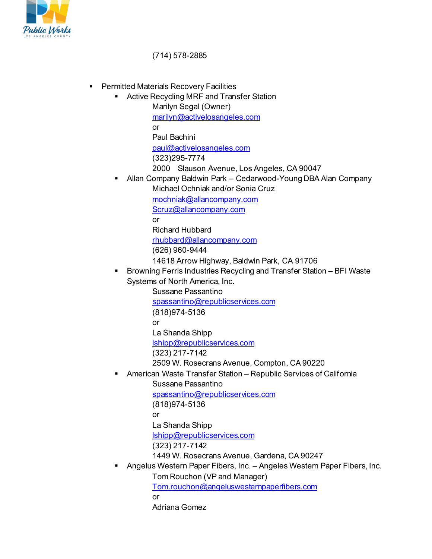

(714) 578-2885

- **•** Permitted Materials Recovery Facilities
	- Active Recycling MRF and Transfer Station Marilyn Segal (Owner) [marilyn@activelosangeles.com](mailto:marilyn@activelosangeles.com) or Paul Bachini [paul@activelosangeles.com](mailto:paul@activelosangeles.com) (323)295-7774
		- 2000 Slauson Avenue, Los Angeles, CA 90047
	- Allan Company Baldwin Park Cedarwood-Young DBA Alan Company Michael Ochniak and/or Sonia Cruz

[mochniak@allancompany.com](mailto:mochniak@allancompany.com)

[Scruz@allancompany.com](mailto:Scruz@allancompany.com)

or

Richard Hubbard [rhubbard@allancompany.com](mailto:rhubbard@allancompany.com) (626) 960-9444

14618 Arrow Highway, Baldwin Park, CA 91706

 Browning Ferris Industries Recycling and Transfer Station – BFI Waste Systems of North America, Inc.

> Sussane Passantino [spassantino@republicservices.com](mailto:spassantino@republicservices.com) (818)974-5136 or La Shanda Shipp [lshipp@republicservices.com](mailto:lshipp@republicservices.com) (323) 217-7142

2509 W. Rosecrans Avenue, Compton, CA 90220

American Waste Transfer Station – Republic Services of California

Sussane Passantino [spassantino@republicservices.com](mailto:spassantino@republicservices.com) (818)974-5136 or La Shanda Shipp [lshipp@republicservices.com](mailto:lshipp@republicservices.com) (323) 217-7142 1449 W. Rosecrans Avenue, Gardena, CA 90247

Angelus Western Paper Fibers, Inc. – Angeles Western Paper Fibers, Inc.

Tom Rouchon (VP and Manager) [Tom.rouchon@angeluswesternpaperfibers.com](mailto:Tom.rouchon@angeluswesternpaperfibers.com) or Adriana Gomez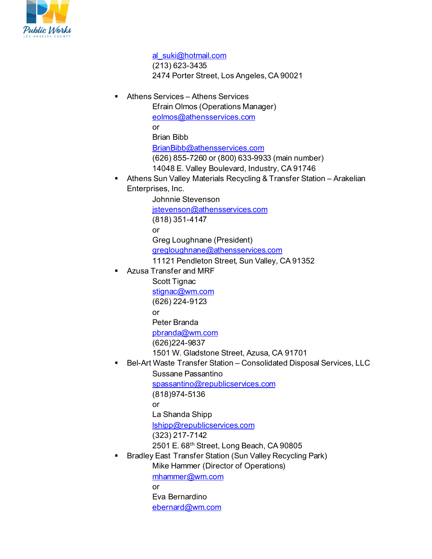

[al\\_suki@hotmail.com](mailto:al_suki@hotmail.com) (213) 623-3435 2474 Porter Street, Los Angeles, CA 90021 Athens Services – Athens Services Efrain Olmos (Operations Manager) [eolmos@athensservices.com](mailto:eolmos@athensservices.com) or Brian Bibb [BrianBibb@athensservices.com](mailto:BrianBibb@athensservices.com) (626) 855-7260 or (800) 633-9933 (main number) 14048 E. Valley Boulevard, Industry, CA 91746 Athens Sun Valley Materials Recycling & Transfer Station – Arakelian Enterprises, Inc. Johnnie Stevenson [jstevenson@athensservices.com](mailto:jstevenson@athensservices.com) (818) 351-4147 or Greg Loughnane (President) [gregloughnane@athensservices.com](mailto:gregloughnane@athensservices.com) 11121 Pendleton Street, Sun Valley, CA 91352 Azusa Transfer and MRF Scott Tignac [stignac@wm.com](mailto:stignac@wm.com) (626) 224-9123 or Peter Branda [pbranda@wm.com](mailto:pbranda@wm.com) (626)224-9837 1501 W. Gladstone Street, Azusa, CA 91701 Bel-Art Waste Transfer Station – Consolidated Disposal Services, LLC Sussane Passantino [spassantino@republicservices.com](mailto:spassantino@republicservices.com) (818)974-5136 or La Shanda Shipp [lshipp@republicservices.com](mailto:lshipp@republicservices.com) (323) 217-7142 2501 E. 68th Street, Long Beach, CA 90805 Bradley East Transfer Station (Sun Valley Recycling Park) Mike Hammer (Director of Operations) [mhammer@wm.com](mailto:mhammer@wm.com) or Eva Bernardino [ebernard@wm.com](mailto:ebernard@wm.com)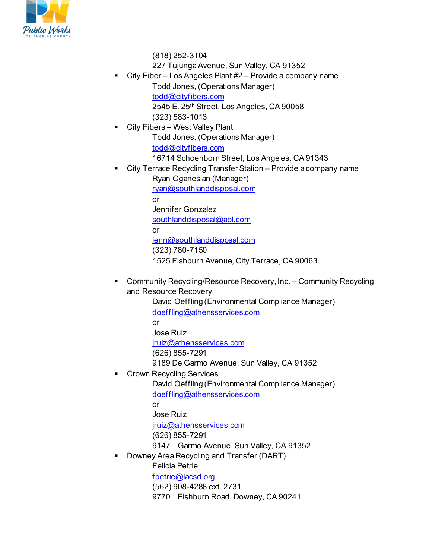

(818) 252-3104

- 227 Tujunga Avenue, Sun Valley, CA 91352
- City Fiber Los Angeles Plant #2 Provide a company name Todd Jones, (Operations Manager)
	- [todd@cityfibers.com](mailto:todd@cityfibers.com)
	- 2545 E. 25th Street, Los Angeles, CA 90058
	- (323) 583-1013
	- City Fibers West Valley Plant Todd Jones, (Operations Manager)
		- [todd@cityfibers.com](mailto:todd@cityfibers.com)
		- 16714 Schoenborn Street, Los Angeles, CA 91343
- City Terrace Recycling Transfer Station Provide a company name Ryan Oganesian (Manager)
	- [ryan@southlanddisposal.com](mailto:ryan@southlanddisposal.com)
	- or
		- Jennifer Gonzalez
	- [southlanddisposal@aol.com](mailto:southlanddisposal@aol.com)
	- or
	- [jenn@southlanddisposal.com](mailto:jenn@southlanddisposal.com) (323) 780-7150
	- 1525 Fishburn Avenue, City Terrace, CA 90063
- Community Recycling/Resource Recovery, Inc. Community Recycling and Resource Recovery
	- David Oeffling (Environmental Compliance Manager) [doeffling@athensservices.com](mailto:doeffling@athensservices.com) or
	- Jose Ruiz
	- iruiz@athensservices.com
	- (626) 855-7291
	- 9189 De Garmo Avenue, Sun Valley, CA 91352
- Crown Recycling Services
	- David Oeffling (Environmental Compliance Manager) [doeffling@athensservices.com](mailto:doeffling@athensservices.com)
	- or
	- Jose Ruiz
	- [jruiz@athensservices.com](mailto:jruiz@athensservices.com)
	- (626) 855-7291
	- 9147 Garmo Avenue, Sun Valley, CA 91352
- Downey Area Recycling and Transfer (DART)
	- Felicia Petrie
	- [fpetrie@lacsd.org](mailto:fpetrie@lacsd.org)
	- (562) 908-4288 ext. 2731
	- 9770 Fishburn Road, Downey, CA 90241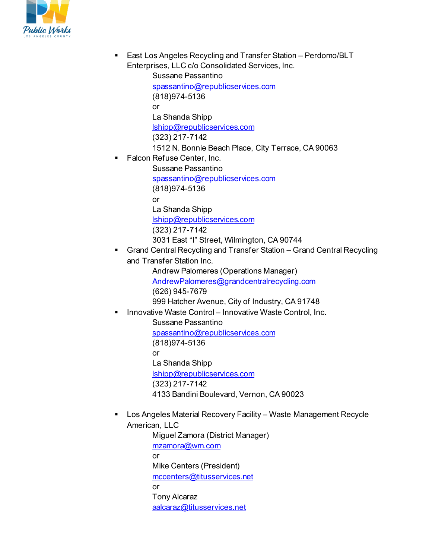

 East Los Angeles Recycling and Transfer Station – Perdomo/BLT Enterprises, LLC c/o Consolidated Services, Inc.

> Sussane Passantino [spassantino@republicservices.com](mailto:spassantino@republicservices.com) (818)974-5136 or La Shanda Shipp [lshipp@republicservices.com](mailto:lshipp@republicservices.com) (323) 217-7142 1512 N. Bonnie Beach Place, City Terrace, CA 90063

Falcon Refuse Center, Inc.

Sussane Passantino [spassantino@republicservices.com](mailto:spassantino@republicservices.com) (818)974-5136 or La Shanda Shipp [lshipp@republicservices.com](mailto:lshipp@republicservices.com) (323) 217-7142

- 3031 East "I" Street, Wilmington, CA 90744 Grand Central Recycling and Transfer Station – Grand Central Recycling
	- and Transfer Station Inc.

Andrew Palomeres (Operations Manager) [AndrewPalomeres@grandcentralrecycling.com](mailto:AndrewPalomeres@grandcentralrecycling.com) (626) 945-7679

- 999 Hatcher Avenue, City of Industry, CA 91748
- Innovative Waste Control Innovative Waste Control, Inc.

Sussane Passantino [spassantino@republicservices.com](mailto:spassantino@republicservices.com) (818)974-5136 or La Shanda Shipp [lshipp@republicservices.com](mailto:lshipp@republicservices.com) (323) 217-7142 4133 Bandini Boulevard, Vernon, CA 90023

 Los Angeles Material Recovery Facility – Waste Management Recycle American, LLC

Miguel Zamora (District Manager) [mzamora@wm.com](mailto:mzamora@wm.com) or Mike Centers (President) [mccenters@titusservices.net](mailto:mccenters@titusservices.net) or Tony Alcaraz [aalcaraz@titusservices.net](mailto:aalcaraz@titusservices.net)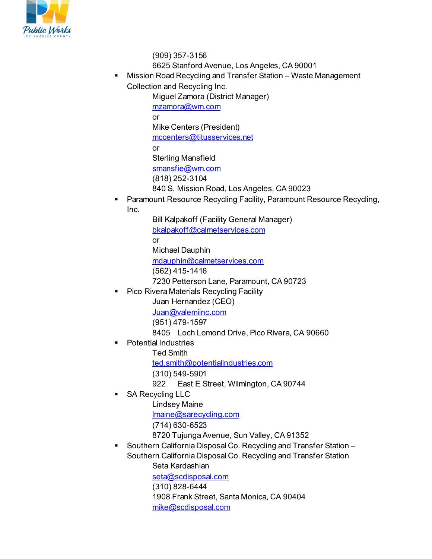

(909) 357-3156 6625 Stanford Avenue, Los Angeles, CA 90001

 Mission Road Recycling and Transfer Station – Waste Management Collection and Recycling Inc.

Miguel Zamora (District Manager) [mzamora@wm.com](mailto:mzamora@wm.com) or Mike Centers (President) [mccenters@titusservices.net](mailto:mccenters@titusservices.net) or Sterling Mansfield [smansfie@wm.com](mailto:smansfie@wm.com) (818) 252-3104 840 S. Mission Road, Los Angeles, CA 90023

 Paramount Resource Recycling Facility, Paramount Resource Recycling, Inc.

> Bill Kalpakoff (Facility General Manager) [bkalpakoff@calmetservices.com](mailto:bkalpakoff@calmetservices.com) or Michael Dauphin [mdauphin@calmetservices.com](mailto:mdauphin@calmetservices.com)

(562) 415-1416

7230 Petterson Lane, Paramount, CA 90723

Pico Rivera Materials Recycling Facility

Juan Hernandez (CEO)

[Juan@valemiinc.com](mailto:Juan@valemiinc.com)

(951) 479-1597

- 8405 Loch Lomond Drive, Pico Rivera, CA 90660
- Potential Industries
	- Ted Smith

[ted.smith@potentialindustries.com](mailto:ted.smith@potentialindustries.com)

- (310) 549-5901
- 922 East E Street, Wilmington, CA 90744
- SA Recycling LLC
	- Lindsey Maine

[lmaine@sarecycling.com](mailto:lmaine@sarecycling.com)

- (714) 630-6523
- 8720 Tujunga Avenue, Sun Valley, CA 91352
- Southern California Disposal Co. Recycling and Transfer Station Southern California Disposal Co. Recycling and Transfer Station Seta Kardashian

[seta@scdisposal.com](mailto:seta@scdisposal.com) (310) 828-6444

- 1908 Frank Street, Santa Monica, CA 90404
- [mike@scdisposal.com](mailto:mike@scdisposal.com)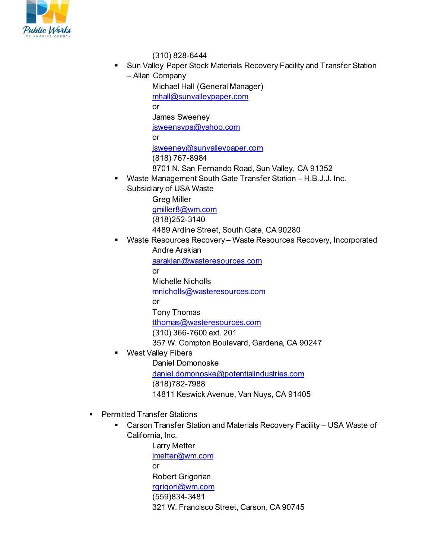

(310) 828-6444

- Sun Valley Paper Stock Materials Recovery Facility and Transfer Station
	- Allan Company

Michael Hall (General Manager) [mhall@sunvalleypaper.com](mailto:mhall@sunvalleypaper.com) or James Sweeney [jsweensvps@yahoo.com](mailto:jsweensvps@yahoo.com) or [jsweeney@sunvalleypaper.com](mailto:jsweeney@sunvalleypaper.com) (818) 767-8984 8701 N. San Fernando Road, Sun Valley, CA 91352

 Waste Management South Gate Transfer Station – H.B.J.J. Inc. Subsidiary of USA Waste

> Greg Miller [gmiller8@wm.com](mailto:gmiller8@wm.com) (818)252-3140 4489 Ardine Street, South Gate, CA 90280

 Waste Resources Recovery – Waste Resources Recovery, Incorporated Andre Arakian

> [aarakian@wasteresources.com](mailto:aarakian@wasteresources.com) or Michelle Nicholls [mnicholls@wasteresources.com](mailto:mnicholls@wasteresources.com) or Tony Thomas [tthomas@wasteresources.com](mailto:tthomas@wasteresources.com) (310) 366-7600 ext. 201 357 W. Compton Boulevard, Gardena, CA 90247

West Valley Fibers

Daniel Domonoske [daniel.domonoske@potentialindustries.com](mailto:daniel.domonoske@potentialindustries.com) (818)782-7988 14811 Keswick Avenue, Van Nuys, CA 91405

- **Permitted Transfer Stations** 
	- Carson Transfer Station and Materials Recovery Facility USA Waste of California, Inc.

Larry Metter [lmetter@wm.com](mailto:lmetter@wm.com) or Robert Grigorian [rgrigori@wm.com](mailto:rgrigori@wm.com) (559)834-3481 321 W. Francisco Street, Carson, CA 90745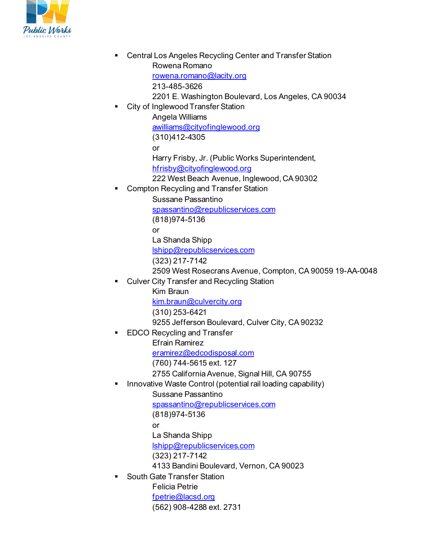

 Central Los Angeles Recycling Center and Transfer Station Rowena Romano [rowena.romano@lacity.org](mailto:rowena.romano@lacity.org) 213-485-3626 2201 E. Washington Boulevard, Los Angeles, CA 90034 City of Inglewood Transfer Station Angela Williams [awilliams@cityofinglewood.org](mailto:awilliams@cityofinglewood.org) (310)412-4305 or Harry Frisby, Jr. (Public Works Superintendent, [hfrisby@cityofinglewood.org](mailto:hfrisby@cityofinglewood.org) 222 West Beach Avenue, Inglewood, CA 90302 Compton Recycling and Transfer Station Sussane Passantino [spassantino@republicservices.com](mailto:spassantino@republicservices.com) (818)974-5136 or La Shanda Shipp [lshipp@republicservices.com](mailto:lshipp@republicservices.com) (323) 217-7142 2509 West Rosecrans Avenue, Compton, CA 90059 19-AA-0048 Culver City Transfer and Recycling Station Kim Braun [kim.braun@culvercity.org](mailto:kim.braun@culvercity.org) (310) 253-6421 9255 Jefferson Boulevard, Culver City, CA 90232 EDCO Recycling and Transfer Efrain Ramirez [eramirez@edcodisposal.com](mailto:eramirez@edcodisposal.com) (760) 744-5615 ext. 127 2755 California Avenue, Signal Hill, CA 90755 Innovative Waste Control (potential rail loading capability) Sussane Passantino [spassantino@republicservices.com](mailto:spassantino@republicservices.com) (818)974-5136 or La Shanda Shipp [lshipp@republicservices.com](mailto:lshipp@republicservices.com) (323) 217-7142 4133 Bandini Boulevard, Vernon, CA 90023 South Gate Transfer Station Felicia Petrie [fpetrie@lacsd.org](mailto:fpetrie@lacsd.org) (562) 908-4288 ext. 2731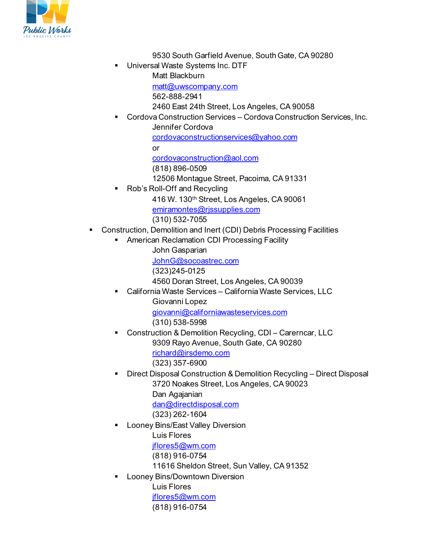

9530 South Garfield Avenue, South Gate, CA 90280

 Universal Waste Systems Inc. DTF Matt Blackburn

[matt@uwscompany.com](mailto:matt@uwscompany.com)

562-888-2941

2460 East 24th Street, Los Angeles, CA 90058

 Cordova Construction Services – Cordova Construction Services, Inc. Jennifer Cordova

[cordovaconstructionservices@yahoo.com](mailto:cordovaconstructionservices@yahoo.com)

or

[cordovaconstruction@aol.com](mailto:cordovaconstruction@aol.com)

(818) 896-0509

12506 Montague Street, Pacoima, CA 91331

Rob's Roll-Off and Recycling

416 W. 130th Street, Los Angeles, CA 90061

[emiramontes@rjssupplies.com](mailto:emiramontes@rjssupplies.com)

(310) 532-7055

- Construction, Demolition and Inert (CDI) Debris Processing Facilities
	- **American Reclamation CDI Processing Facility** 
		- John Gasparian

[JohnG@socoastrec.com](mailto:JohnG@socoastrec.com)

(323)245-0125

4560 Doran Street, Los Angeles, CA 90039

 California Waste Services – California Waste Services, LLC Giovanni Lopez [giovanni@californiawasteservices.com](mailto:giovanni@californiawasteservices.com)

- (310) 538-5998
- Construction & Demolition Recycling, CDI Carerncar, LLC 9309 Rayo Avenue, South Gate, CA 90280 [richard@irsdemo.com](mailto:richard@irsdemo.com) 
	- (323) 357-6900
- Direct Disposal Construction & Demolition Recycling Direct Disposal 3720 Noakes Street, Los Angeles, CA 90023 Dan Agajanian [dan@directdisposal.com](mailto:dan@directdisposal.com)

(323) 262-1604

 Looney Bins/East Valley Diversion Luis Flores

[jflores5@wm.com](mailto:jflores5@wm.com)

(818) 916-0754

11616 Sheldon Street, Sun Valley, CA 91352

Looney Bins/Downtown Diversion

Luis Flores [jflores5@wm.com](mailto:jflores5@wm.com) (818) 916-0754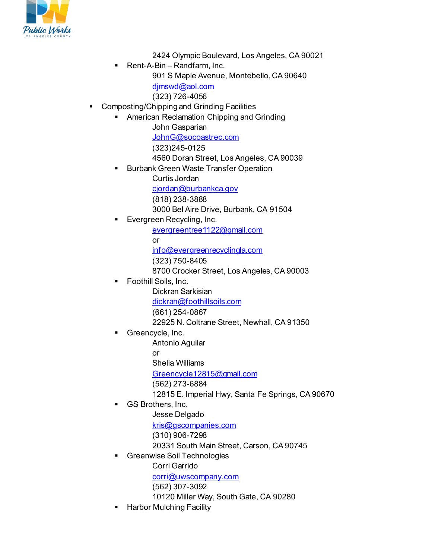

2424 Olympic Boulevard, Los Angeles, CA 90021 Rent-A-Bin – Randfarm, Inc. 901 S Maple Avenue, Montebello, CA 90640 dimswd@aol.com (323) 726-4056 **• Composting/Chipping and Grinding Facilities**  American Reclamation Chipping and Grinding John Gasparian [JohnG@socoastrec.com](mailto:JohnG@socoastrec.com) (323)245-0125 4560 Doran Street, Los Angeles, CA 90039 Burbank Green Waste Transfer Operation Curtis Jordan [cjordan@burbankca.gov](mailto:cjordan@burbankca.gov) (818) 238-3888 3000 Bel Aire Drive, Burbank, CA 91504 Evergreen Recycling, Inc. [evergreentree1122@gmail.com](mailto:evergreentree1122@gmail.com) or [info@evergreenrecyclingla.com](mailto:info@evergreenrecyclingla.com) (323) 750-8405 8700 Crocker Street, Los Angeles, CA 90003 Foothill Soils, Inc. Dickran Sarkisian [dickran@foothillsoils.com](mailto:dickran@foothillsoils.com) (661) 254-0867 22925 N. Coltrane Street, Newhall, CA 91350 Greencycle, Inc. Antonio Aguilar or Shelia Williams [Greencycle12815@gmail.com](mailto:Greencycle12815@gmail.com) (562) 273-6884 12815 E. Imperial Hwy, Santa Fe Springs, CA 90670 GS Brothers, Inc. Jesse Delgado [kris@gscompanies.com](mailto:kris@gscompanies.com) (310) 906-7298 20331 South Main Street, Carson, CA 90745 Greenwise Soil Technologies Corri Garrido [corri@uwscompany.com](mailto:corri@uwscompany.com) (562) 307-3092 10120 Miller Way, South Gate, CA 90280 Harbor Mulching Facility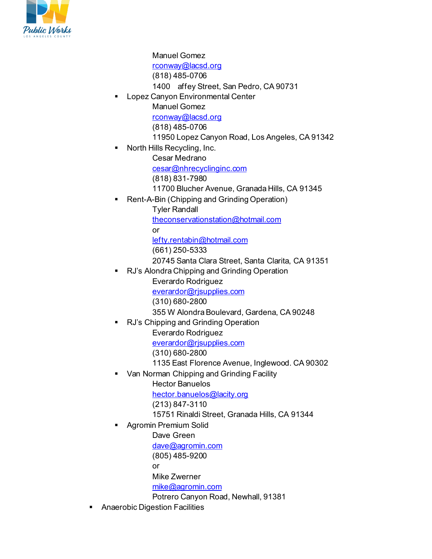

Manuel Gomez [rconway@lacsd.org](mailto:rconway@lacsd.org) (818) 485-0706 1400 affey Street, San Pedro, CA 90731 Lopez Canyon Environmental Center Manuel Gomez [rconway@lacsd.org](mailto:rconway@lacsd.org) (818) 485-0706 11950 Lopez Canyon Road, Los Angeles, CA 91342 North Hills Recycling, Inc. Cesar Medrano [cesar@nhrecyclinginc.com](mailto:cesar@nhrecyclinginc.com) (818) 831-7980 11700 Blucher Avenue, Granada Hills, CA 91345 Rent-A-Bin (Chipping and Grinding Operation) Tyler Randall [theconservationstation@hotmail.com](mailto:theconservationstation@hotmail.com) or [lefty.rentabin@hotmail.com](mailto:lefty.rentabin@hotmail.com) (661) 250-5333 20745 Santa Clara Street, Santa Clarita, CA 91351 RJ's Alondra Chipping and Grinding Operation Everardo Rodriguez [everardor@rjsupplies.com](mailto:everardor@rjsupplies.com) (310) 680-2800 355 W Alondra Boulevard, Gardena, CA 90248 RJ's Chipping and Grinding Operation Everardo Rodriguez [everardor@rjsupplies.com](mailto:everardor@rjsupplies.com) (310) 680-2800 1135 East Florence Avenue, Inglewood. CA 90302 Van Norman Chipping and Grinding Facility Hector Banuelos [hector.banuelos@lacity.org](mailto:hector.banuelos@lacity.org) (213) 847-3110 15751 Rinaldi Street, Granada Hills, CA 91344 Agromin Premium Solid Dave Green [dave@agromin.com](mailto:dave@agromin.com) (805) 485-9200 or Mike Zwerner [mike@agromin.com](mailto:mike@agromin.com) Potrero Canyon Road, Newhall, 91381 Anaerobic Digestion Facilities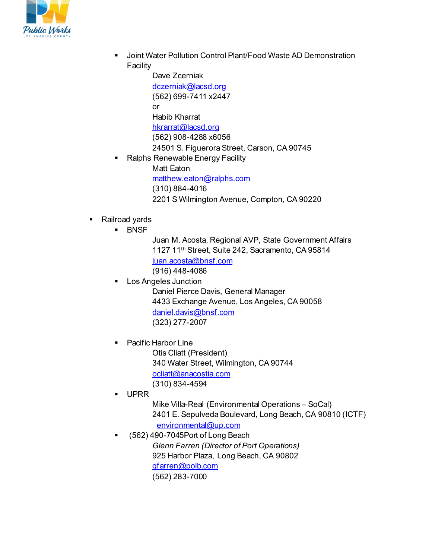

 Joint Water Pollution Control Plant/Food Waste AD Demonstration Facility

> Dave Zcerniak [dczerniak@lacsd.org](mailto:dczerniak@lacsd.org) (562) 699-7411 x2447 or Habib Kharrat [hkrarrat@lacsd.org](mailto:hkrarrat@lacsd.org) (562) 908-4288 x6056 24501 S. Figuerora Street, Carson, CA 90745

- Ralphs Renewable Energy Facility
	- Matt Eaton [matthew.eaton@ralphs.com](mailto:matthew.eaton@ralphs.com) (310) 884-4016 2201 S Wilmington Avenue, Compton, CA 90220
- **Railroad vards** 
	- **BNSF**
- Juan M. Acosta, Regional AVP, State Government Affairs 1127 11th Street, Suite 242, Sacramento, CA 95814 [juan.acosta@bnsf.com](mailto:juan.acosta@bnsf.com)  (916) 448-4086
- Los Angeles Junction Daniel Pierce Davis, General Manager 4433 Exchange Avenue, Los Angeles, CA 90058 [daniel.davis@bnsf.com](mailto:daniel.davis@bnsf.com) (323) 277-2007
- Pacific Harbor Line
	- Otis Cliatt (President) 340 Water Street, Wilmington, CA 90744 [ocliatt@anacostia.com](mailto:ocliatt@anacostia.com) (310) 834-4594
- UPRR
	- Mike Villa-Real (Environmental Operations SoCal) 2401 E. Sepulveda Boulevard, Long Beach, CA 90810 (ICTF) [environmental@up.com](mailto:environmental@up.com)
- (562) 490-7045Port of Long Beach *Glenn Farren (Director of Port Operations)* 925 Harbor Plaza, Long Beach, CA 90802 [gfarren@polb.com](mailto:gfarren@polb.com) (562) 283-7000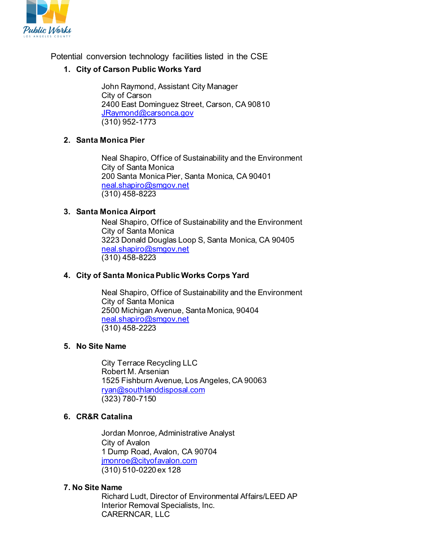

Potential conversion technology facilities listed in the CSE

### **1. City of Carson Public Works Yard**

John Raymond, Assistant City Manager City of Carson 2400 East Dominguez Street, Carson, CA 90810 [JRaymond@carsonca.gov](mailto:JRaymond@carsonca.gov) (310) 952-1773

#### **2. Santa Monica Pier**

Neal Shapiro, Office of Sustainability and the Environment City of Santa Monica 200 Santa Monica Pier, Santa Monica, CA 90401 [neal.shapiro@smgov.net](mailto:neal.shapiro@smgov.net) (310) 458-8223

#### **3. Santa Monica Airport**

Neal Shapiro, Office of Sustainability and the Environment City of Santa Monica 3223 Donald Douglas Loop S, Santa Monica, CA 90405 [neal.shapiro@smgov.net](mailto:neal.shapiro@smgov.net) (310) 458-8223

#### **4. City of Santa Monica Public Works Corps Yard**

Neal Shapiro, Office of Sustainability and the Environment City of Santa Monica 2500 Michigan Avenue, Santa Monica, 90404 [neal.shapiro@smgov.net](mailto:neal.shapiro@smgov.net) (310) 458-2223

#### **5. No Site Name**

City Terrace Recycling LLC Robert M. Arsenian 1525 Fishburn Avenue, Los Angeles, CA 90063 [ryan@southlanddisposal.com](mailto:ryan@southlanddisposal.com) (323) 780-7150

#### **6. CR&R Catalina**

Jordan Monroe, Administrative Analyst City of Avalon 1 Dump Road, Avalon, CA 90704 [jmonroe@cityofavalon.com](mailto:jmonroe@cityofavalon.com) (310) 510-0220 ex 128

#### **7. No Site Name**

Richard Ludt, Director of Environmental Affairs/LEED AP Interior Removal Specialists, Inc. CARERNCAR, LLC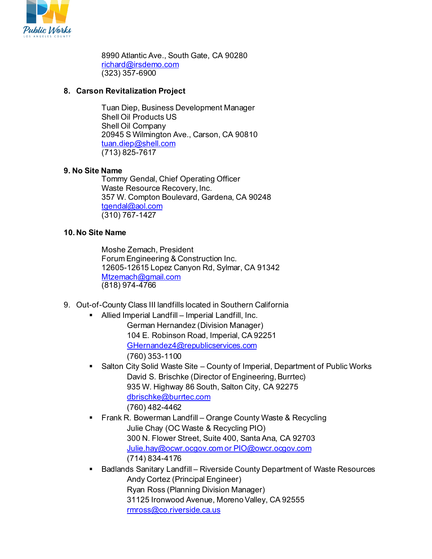

8990 Atlantic Ave., South Gate, CA 90280 [richard@irsdemo.com](mailto:richard@irsdemo.com) (323) 357-6900

### **8. Carson Revitalization Project**

Tuan Diep, Business Development Manager Shell Oil Products US Shell Oil Company 20945 S Wilmington Ave., Carson, CA 90810 [tuan.diep@shell.com](mailto:tuan.diep@shell.com) (713) 825-7617

### **9. No Site Name**

Tommy Gendal, Chief Operating Officer Waste Resource Recovery, Inc. 357 W. Compton Boulevard, Gardena, CA 90248 [tgendal@aol.com](mailto:tgendal@aol.com) (310) 767-1427

## **10. No Site Name**

Moshe Zemach, President Forum Engineering & Construction Inc. 12605-12615 Lopez Canyon Rd, Sylmar, CA 91342 [Mtzemach@gmail.com](mailto:Mtzemach@gmail.com) (818) 974-4766

- 9. Out-of-County Class III landfills located in Southern California
	- Allied Imperial Landfill Imperial Landfill, Inc. German Hernandez (Division Manager) 104 E. Robinson Road, Imperial, CA 92251 [GHernandez4@republicservices.com](mailto:GHernandez4@republicservices.com) (760) 353-1100
	- Salton City Solid Waste Site County of Imperial, Department of Public Works David S. Brischke (Director of Engineering, Burrtec) 935 W. Highway 86 South, Salton City, CA 92275 [dbrischke@burrtec.com](mailto:dbrischke@burrtec.com) (760) 482-4462
	- **FILTAN R. Bowerman Landfill Orange County Waste & Recycling** Julie Chay (OC Waste & Recycling PIO) 300 N. Flower Street, Suite 400, Santa Ana, CA 92703 [Julie.hay@ocwr.ocgov.com or PIO@owcr.ocgov.com](mailto:Julie.hay@ocwr.ocgov.com%20or%20PIO@owcr.ocgov.com) (714) 834-4176
	- Badlands Sanitary Landfill Riverside County Department of Waste Resources Andy Cortez (Principal Engineer) Ryan Ross (Planning Division Manager) 31125 Ironwood Avenue, Moreno Valley, CA 92555 [rmross@co.riverside.ca.us](mailto:rmross@co.riverside.ca.us)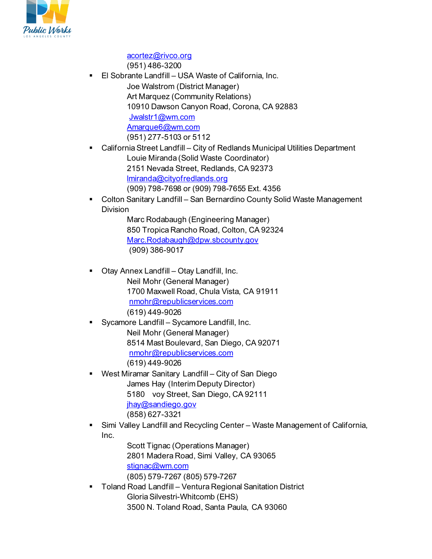

[acortez@rivco.org](mailto:acortez@rivco.org) (951) 486-3200

■ El Sobrante Landfill – USA Waste of California, Inc.

Joe Walstrom (District Manager) Art Marquez (Community Relations) 10910 Dawson Canyon Road, Corona, CA 92883 [Jwalstr1@wm.com](mailto:Jwalstr1@wm.com) [Amarque6@wm.com](mailto:Amarque6@wm.com) (951) 277-5103 or 5112

- California Street Landfill City of Redlands Municipal Utilities Department Louie Miranda (Solid Waste Coordinator) 2151 Nevada Street, Redlands, CA 92373 [lmiranda@cityofredlands.org](mailto:lmiranda@cityofredlands.org) (909) 798-7698 or (909) 798-7655 Ext. 4356
- Colton Sanitary Landfill San Bernardino County Solid Waste Management Division

Marc Rodabaugh (Engineering Manager) 850 Tropica Rancho Road, Colton, CA 92324 [Marc.Rodabaugh@dpw.sbcounty.gov](mailto:Marc.Rodabaugh@dpw.sbcounty.gov) (909) 386-9017

- Otay Annex Landfill Otay Landfill, Inc. Neil Mohr (General Manager) 1700 Maxwell Road, Chula Vista, CA 91911 [nmohr@republicservices.com](mailto:nmohr@republicservices.com) (619) 449-9026
- Sycamore Landfill Sycamore Landfill, Inc. Neil Mohr (General Manager) 8514 Mast Boulevard, San Diego, CA 92071 [nmohr@republicservices.com](mailto:nmohr@republicservices.com) (619) 449-9026
- West Miramar Sanitary Landfill City of San Diego James Hay (Interim Deputy Director) 5180 voy Street, San Diego, CA 92111 [jhay@sandiego.gov](mailto:jhay@sandiego.gov) (858) 627-3321
- Simi Valley Landfill and Recycling Center Waste Management of California, Inc.

Scott Tignac (Operations Manager) 2801 Madera Road, Simi Valley, CA 93065 [stignac@wm.com](mailto:stignac@wm.com) (805) 579-7267 (805) 579-7267

 Toland Road Landfill – Ventura Regional Sanitation District Gloria Silvestri-Whitcomb (EHS)

3500 N. Toland Road, Santa Paula, CA 93060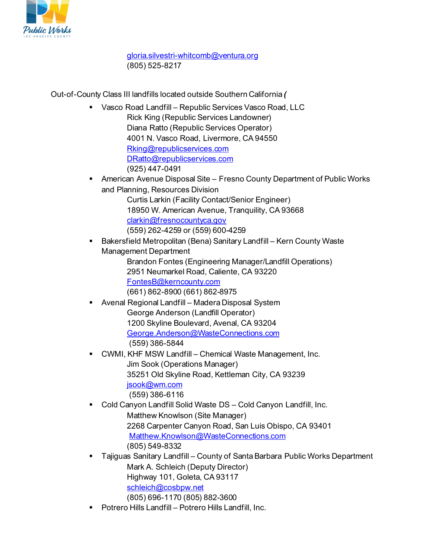

[gloria.silvestri-whitcomb@ventura.org](mailto:gloria.silvestri-whitcomb@ventura.org)  (805) 525-8217

Out-of-County Class III landfills located outside Southern California *(*

- Vasco Road Landfill Republic Services Vasco Road, LLC Rick King (Republic Services Landowner) Diana Ratto (Republic Services Operator) 4001 N. Vasco Road, Livermore, CA 94550 [Rking@republicservices.com](mailto:Rking@republicservices.com) [DRatto@republicservices.com](mailto:DRatto@republicservices.com) (925) 447-0491
- American Avenue Disposal Site Fresno County Department of Public Works and Planning, Resources Division

Curtis Larkin (Facility Contact/Senior Engineer) 18950 W. American Avenue, Tranquility, CA 93668 [clarkin@fresnocountyca.gov](mailto:clarkin@fresnocountyca.gov) (559) 262-4259 or (559) 600-4259

 Bakersfield Metropolitan (Bena) Sanitary Landfill – Kern County Waste Management Department Brandon Fontes (Engineering Manager/Landfill Operations)

2951 Neumarkel Road, Caliente, CA 93220 [FontesB@kerncounty.com](mailto:FontesB@kerncounty.com) (661) 862-8900 (661) 862-8975

- Avenal Regional Landfill Madera Disposal System George Anderson (Landfill Operator) 1200 Skyline Boulevard, Avenal, CA 93204 [George.Anderson@WasteConnections.com](mailto:George.Anderson@WasteConnections.com) (559) 386-5844
- CWMI, KHF MSW Landfill Chemical Waste Management, Inc. Jim Sook (Operations Manager) 35251 Old Skyline Road, Kettleman City, CA 93239 [jsook@wm.com](mailto:jsook@wm.com) (559) 386-6116
- Cold Canyon Landfill Solid Waste DS Cold Canyon Landfill, Inc. Matthew Knowlson (Site Manager) 2268 Carpenter Canyon Road, San Luis Obispo, CA 93401 [Matthew.Knowlson@WasteConnections.com](mailto:Matthew.Knowlson@WasteConnections.com) (805) 549-8332
- Tajiguas Sanitary Landfill County of Santa Barbara Public Works Department Mark A. Schleich (Deputy Director) Highway 101, Goleta, CA 93117 schleich@cosbpw.net (805) 696-1170 (805) 882-3600
- **Potrero Hills Landfill Potrero Hills Landfill, Inc.**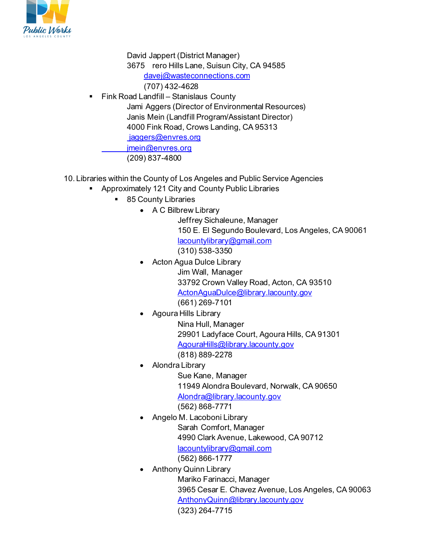

David Jappert (District Manager) 3675 rero Hills Lane, Suisun City, CA 94585 [davej@wasteconnections.com](mailto:davej@wasteconnections.com)  (707) 432-4628

- Fink Road Landfill Stanislaus County Jami Aggers (Director of Environmental Resources) Janis Mein (Landfill Program/Assistant Director) 4000 Fink Road, Crows Landing, CA 95313 iaggers@envres.org jmein@envres.org (209) 837-4800
- 10. Libraries within the County of Los Angeles and Public Service Agencies
	- Approximately 121 City and County Public Libraries
		- 85 County Libraries
			- A C Bilbrew Library

Jeffrey Sichaleune, Manager 150 E. El Segundo Boulevard, Los Angeles, CA 90061 [lacountylibrary@gmail.com](mailto:lacountylibrary@gmail.com) (310) 538-3350

- Acton Agua Dulce Library Jim Wall, Manager 33792 Crown Valley Road, Acton, CA 93510 [ActonAguaDulce@library.lacounty.gov](mailto:ActonAguaDulce@library.lacounty.gov) (661) 269-7101
- Agoura Hills Library

Nina Hull, Manager 29901 Ladyface Court, Agoura Hills, CA 91301 [AgouraHills@library.lacounty.gov](mailto:AgouraHills@library.lacounty.gov) (818) 889-2278

- Alondra Library Sue Kane, Manager 11949 Alondra Boulevard, Norwalk, CA 90650 [Alondra@library.lacounty.gov](mailto:Alondra@library.lacounty.gov) (562) 868-7771
- Angelo M. Lacoboni Library Sarah Comfort, Manager 4990 Clark Avenue, Lakewood, CA 90712 [lacountylibrary@gmail.com](mailto:lacountylibrary@gmail.com) (562) 866-1777
	- Anthony Quinn Library Mariko Farinacci, Manager 3965 Cesar E. Chavez Avenue, Los Angeles, CA 90063 [AnthonyQuinn@library.lacounty.gov](mailto:AnthonyQuinn@library.lacounty.gov) (323) 264-7715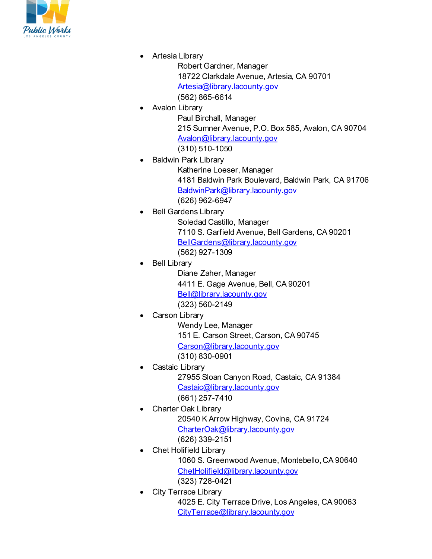

• Artesia Library

Robert Gardner, Manager 18722 Clarkdale Avenue, Artesia, CA 90701 [Artesia@library.lacounty.gov](mailto:Artesia@library.lacounty.gov) (562) 865-6614

- Avalon Library Paul Birchall, Manager 215 Sumner Avenue, P.O. Box 585, Avalon, CA 90704 [Avalon@library.lacounty.gov](mailto:Avalon@library.lacounty.gov) (310) 510-1050
- Baldwin Park Library Katherine Loeser, Manager 4181 Baldwin Park Boulevard, Baldwin Park, CA 91706 [BaldwinPark@library.lacounty.gov](mailto:BaldwinPark@library.lacounty.gov) (626) 962-6947
- Bell Gardens Library

Soledad Castillo, Manager 7110 S. Garfield Avenue, Bell Gardens, CA 90201 [BellGardens@library.lacounty.gov](mailto:BellGardens@library.lacounty.gov) (562) 927-1309

Bell Library

Diane Zaher, Manager 4411 E. Gage Avenue, Bell, CA 90201 [Bell@library.lacounty.gov](mailto:Bell@library.lacounty.gov) (323) 560-2149

Carson Library

Wendy Lee, Manager 151 E. Carson Street, Carson, CA 90745 [Carson@library.lacounty.gov](mailto:Carson@library.lacounty.gov) (310) 830-0901

- Castaic Library 27955 Sloan Canyon Road, Castaic, CA 91384 [Castaic@library.lacounty.gov](mailto:Castaic@library.lacounty.gov) (661) 257-7410
- Charter Oak Library 20540 K Arrow Highway, Covina, CA 91724 [CharterOak@library.lacounty.gov](mailto:CharterOak@library.lacounty.gov) (626) 339-2151
- Chet Holifield Library 1060 S. Greenwood Avenue, Montebello, CA 90640 [ChetHolifield@library.lacounty.gov](mailto:ChetHolifield@library.lacounty.gov) (323) 728-0421
- City Terrace Library 4025 E. City Terrace Drive, Los Angeles, CA 90063 [CityTerrace@library.lacounty.gov](mailto:CityTerrace@library.lacounty.gov)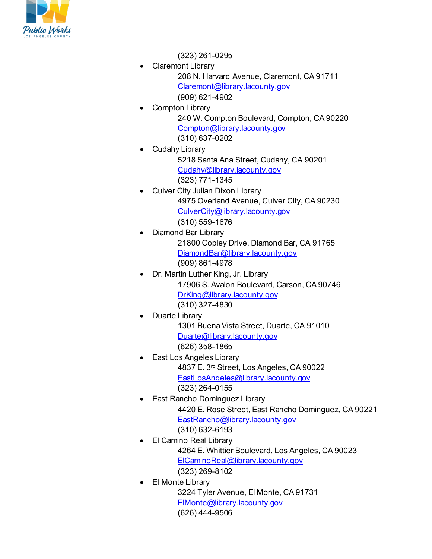

(323) 261-0295

- Claremont Library 208 N. Harvard Avenue, Claremont, CA 91711 [Claremont@library.lacounty.gov](mailto:Claremont@library.lacounty.gov) (909) 621-4902
	- Compton Library 240 W. Compton Boulevard, Compton, CA 90220 [Compton@library.lacounty.gov](mailto:Compton@library.lacounty.gov) (310) 637-0202
- Cudahy Library
	- 5218 Santa Ana Street, Cudahy, CA 90201 [Cudahy@library.lacounty.gov](mailto:Cudahy@library.lacounty.gov) (323) 771-1345
- Culver City Julian Dixon Library 4975 Overland Avenue, Culver City, CA 90230 [CulverCity@library.lacounty.gov](mailto:CulverCity@library.lacounty.gov) (310) 559-1676
	- Diamond Bar Library 21800 Copley Drive, Diamond Bar, CA 91765 [DiamondBar@library.lacounty.gov](mailto:DiamondBar@library.lacounty.gov) (909) 861-4978
- Dr. Martin Luther King, Jr. Library 17906 S. Avalon Boulevard, Carson, CA 90746 [DrKing@library.lacounty.gov](mailto:DrKing@library.lacounty.gov) (310) 327-4830
- Duarte Library
	- 1301 Buena Vista Street, Duarte, CA 91010 [Duarte@library.lacounty.gov](mailto:Duarte@library.lacounty.gov) (626) 358-1865
- East Los Angeles Library 4837 E. 3rd Street, Los Angeles, CA 90022 [EastLosAngeles@library.lacounty.gov](mailto:EastLosAngeles@library.lacounty.gov) (323) 264-0155
	- East Rancho Dominguez Library 4420 E. Rose Street, East Rancho Dominguez, CA 90221 [EastRancho@library.lacounty.gov](mailto:EastRancho@library.lacounty.gov) (310) 632-6193
- El Camino Real Library 4264 E. Whittier Boulevard, Los Angeles, CA 90023 [ElCaminoReal@library.lacounty.gov](mailto:ElCaminoReal@library.lacounty.gov) (323) 269-8102
	- **El Monte Library** 3224 Tyler Avenue, El Monte, CA 91731 [ElMonte@library.lacounty.gov](mailto:ElMonte@library.lacounty.gov) (626) 444-9506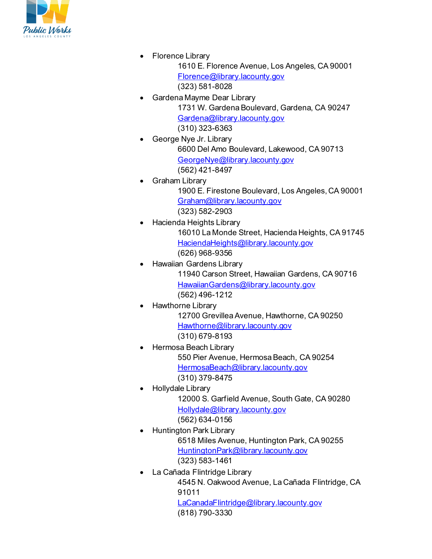

• Florence Library

1610 E. Florence Avenue, Los Angeles, CA 90001 [Florence@library.lacounty.gov](mailto:Florence@library.lacounty.gov) (323) 581-8028

- Gardena Mayme Dear Library 1731 W. Gardena Boulevard, Gardena, CA 90247 [Gardena@library.lacounty.gov](mailto:Gardena@library.lacounty.gov) (310) 323-6363
- George Nye Jr. Library 6600 Del Amo Boulevard, Lakewood, CA 90713 [GeorgeNye@library.lacounty.gov](mailto:GeorgeNye@library.lacounty.gov) (562) 421-8497
	- Graham Library 1900 E. Firestone Boulevard, Los Angeles, CA 90001 [Graham@library.lacounty.gov](mailto:Graham@library.lacounty.gov) (323) 582-2903
	- Hacienda Heights Library 16010 La Monde Street, Hacienda Heights, CA 91745 [HaciendaHeights@library.lacounty.gov](mailto:HaciendaHeights@library.lacounty.gov) (626) 968-9356
	- Hawaiian Gardens Library 11940 Carson Street, Hawaiian Gardens, CA 90716 [HawaiianGardens@library.lacounty.gov](mailto:HawaiianGardens@library.lacounty.gov) (562) 496-1212
- Hawthorne Library

12700 Grevillea Avenue, Hawthorne, CA 90250 [Hawthorne@library.lacounty.gov](mailto:Hawthorne@library.lacounty.gov) (310) 679-8193

- Hermosa Beach Library 550 Pier Avenue, Hermosa Beach, CA 90254 [HermosaBeach@library.lacounty.gov](mailto:HermosaBeach@library.lacounty.gov) (310) 379-8475
	- Hollydale Library 12000 S. Garfield Avenue, South Gate, CA 90280 [Hollydale@library.lacounty.gov](mailto:Hollydale@library.lacounty.gov) (562) 634-0156
- Huntington Park Library 6518 Miles Avenue, Huntington Park, CA 90255 [HuntingtonPark@library.lacounty.gov](mailto:HuntingtonPark@library.lacounty.gov) (323) 583-1461
- La Cañada Flintridge Library 4545 N. Oakwood Avenue, La Cañada Flintridge, CA 91011

[LaCanadaFlintridge@library.lacounty.gov](mailto:LaCanadaFlintridge@library.lacounty.gov) (818) 790-3330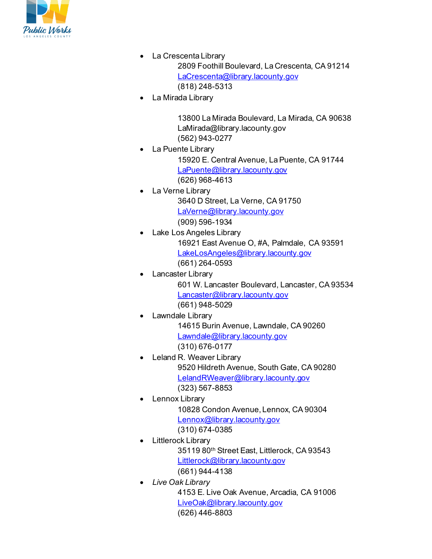

- La Crescenta Library 2809 Foothill Boulevard, La Crescenta, CA 91214 [LaCrescenta@library.lacounty.gov](mailto:LaCrescenta@library.lacounty.gov) (818) 248-5313
- La Mirada Library

13800 La Mirada Boulevard, La Mirada, CA 90638 LaMirada@library.lacounty.gov (562) 943-0277

• La Puente Library

15920 E. Central Avenue, La Puente, CA 91744 [LaPuente@library.lacounty.gov](mailto:LaPuente@library.lacounty.gov) (626) 968-4613

- La Verne Library 3640 D Street, La Verne, CA 91750 [LaVerne@library.lacounty.gov](mailto:LaVerne@library.lacounty.gov) (909) 596-1934
	- Lake Los Angeles Library 16921 East Avenue O, #A, Palmdale, CA 93591 [LakeLosAngeles@library.lacounty.gov](mailto:LakeLosAngeles@library.lacounty.gov) (661) 264-0593
		- Lancaster Library 601 W. Lancaster Boulevard, Lancaster, CA 93534 [Lancaster@library.lacounty.gov](mailto:Lancaster@library.lacounty.gov) (661) 948-5029
- Lawndale Library

14615 Burin Avenue, Lawndale, CA 90260 [Lawndale@library.lacounty.gov](mailto:Lawndale@library.lacounty.gov) (310) 676-0177

- Leland R. Weaver Library 9520 Hildreth Avenue, South Gate, CA 90280 [LelandRWeaver@library.lacounty.gov](mailto:LelandRWeaver@library.lacounty.gov) (323) 567-8853
- Lennox Library

10828 Condon Avenue, Lennox, CA 90304 [Lennox@library.lacounty.gov](mailto:Lennox@library.lacounty.gov) (310) 674-0385

- Littlerock Library 35119 80th Street East, Littlerock, CA 93543 [Littlerock@library.lacounty.gov](mailto:Littlerock@library.lacounty.gov)
- (661) 944-4138 • *Live Oak Library* 4153 E. Live Oak Avenue, Arcadia, CA 91006 [LiveOak@library.lacounty.gov](mailto:LiveOak@library.lacounty.gov)

(626) 446-8803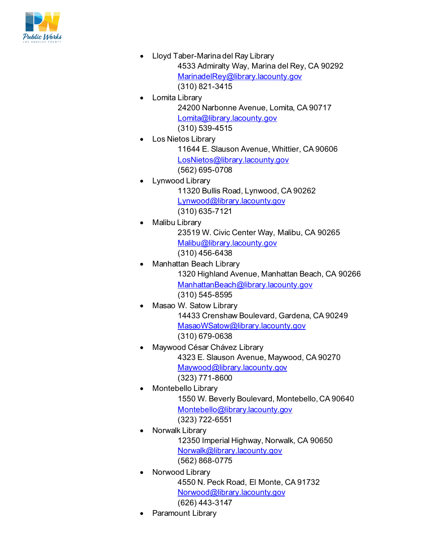

- Lloyd Taber-Marina del Ray Library 4533 Admiralty Way, Marina del Rey, CA 90292 [MarinadelRey@library.lacounty.gov](mailto:MarinadelRey@library.lacounty.gov) (310) 821-3415
- Lomita Library 24200 Narbonne Avenue, Lomita, CA 90717 [Lomita@library.lacounty.gov](mailto:Lomita@library.lacounty.gov) (310) 539-4515
- Los Nietos Library

11644 E. Slauson Avenue, Whittier, CA 90606 [LosNietos@library.lacounty.gov](mailto:LosNietos@library.lacounty.gov) (562) 695-0708

- Lynwood Library 11320 Bullis Road, Lynwood, CA 90262 [Lynwood@library.lacounty.gov](mailto:Lynwood@library.lacounty.gov) (310) 635-7121
	- Malibu Library 23519 W. Civic Center Way, Malibu, CA 90265 [Malibu@library.lacounty.gov](mailto:Malibu@library.lacounty.gov) (310) 456-6438
- Manhattan Beach Library 1320 Highland Avenue, Manhattan Beach, CA 90266 [ManhattanBeach@library.lacounty.gov](mailto:ManhattanBeach@library.lacounty.gov) (310) 545-8595
- Masao W. Satow Library 14433 Crenshaw Boulevard, Gardena, CA 90249 [MasaoWSatow@library.lacounty.gov](mailto:MasaoWSatow@library.lacounty.gov) (310) 679-0638
- Maywood César Chávez Library 4323 E. Slauson Avenue, Maywood, CA 90270 [Maywood@library.lacounty.gov](mailto:Maywood@library.lacounty.gov) (323) 771-8600
	- Montebello Library 1550 W. Beverly Boulevard, Montebello, CA 90640 [Montebello@library.lacounty.gov](mailto:Montebello@library.lacounty.gov)

(323) 722-6551

- Norwalk Library 12350 Imperial Highway, Norwalk, CA 90650 [Norwalk@library.lacounty.gov](mailto:Norwalk@library.lacounty.gov) (562) 868-0775
- Norwood Library 4550 N. Peck Road, El Monte, CA 91732 [Norwood@library.lacounty.gov](mailto:Norwood@library.lacounty.gov) (626) 443-3147
- Paramount Library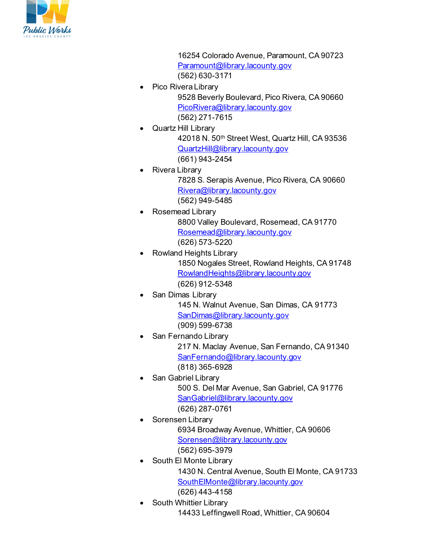

16254 Colorado Avenue, Paramount, CA 90723 [Paramount@library.lacounty.gov](mailto:Paramount@library.lacounty.gov) (562) 630-3171

- Pico Rivera Library 9528 Beverly Boulevard, Pico Rivera, CA 90660 [PicoRivera@library.lacounty.gov](mailto:PicoRivera@library.lacounty.gov) (562) 271-7615
	- Quartz Hill Library 42018 N. 50th Street West, Quartz Hill, CA 93536 [QuartzHill@library.lacounty.gov](mailto:QuartzHill@library.lacounty.gov) (661) 943-2454
- Rivera Library 7828 S. Serapis Avenue, Pico Rivera, CA 90660 [Rivera@library.lacounty.gov](mailto:Rivera@library.lacounty.gov) (562) 949-5485
	- Rosemead Library 8800 Valley Boulevard, Rosemead, CA 91770 [Rosemead@library.lacounty.gov](mailto:Rosemead@library.lacounty.gov) (626) 573-5220
- Rowland Heights Library 1850 Nogales Street, Rowland Heights, CA 91748 [RowlandHeights@library.lacounty.gov](mailto:RowlandHeights@library.lacounty.gov) (626) 912-5348
	- San Dimas Library 145 N. Walnut Avenue, San Dimas, CA 91773 [SanDimas@library.lacounty.gov](mailto:SanDimas@library.lacounty.gov) (909) 599-6738
- San Fernando Library 217 N. Maclay Avenue, San Fernando, CA 91340 [SanFernando@library.lacounty.gov](mailto:SanFernando@library.lacounty.gov) (818) 365-6928
- San Gabriel Library 500 S. Del Mar Avenue, San Gabriel, CA 91776 [SanGabriel@library.lacounty.gov](mailto:SanGabriel@library.lacounty.gov) (626) 287-0761
	- Sorensen Library 6934 Broadway Avenue, Whittier, CA 90606 [Sorensen@library.lacounty.gov](mailto:Sorensen@library.lacounty.gov) (562) 695-3979
- South El Monte Library 1430 N. Central Avenue, South El Monte, CA 91733 [SouthElMonte@library.lacounty.gov](mailto:SouthElMonte@library.lacounty.gov) (626) 443-4158
- South Whittier Library 14433 Leffingwell Road, Whittier, CA 90604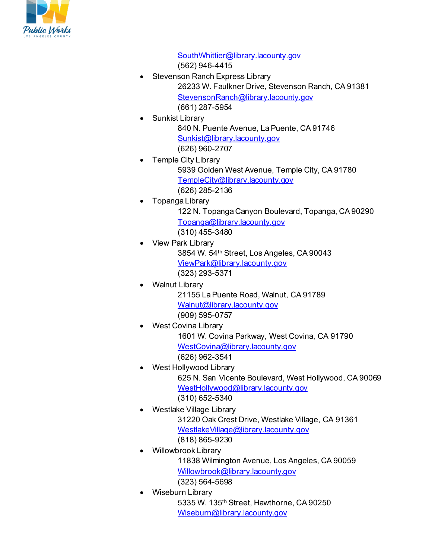

[SouthWhittier@library.lacounty.gov](mailto:SouthWhittier@library.lacounty.gov)

(562) 946-4415

- Stevenson Ranch Express Library 26233 W. Faulkner Drive, Stevenson Ranch, CA 91381 [StevensonRanch@library.lacounty.gov](mailto:StevensonRanch@library.lacounty.gov) (661) 287-5954
- Sunkist Library

840 N. Puente Avenue, La Puente, CA 91746 [Sunkist@library.lacounty.gov](mailto:Sunkist@library.lacounty.gov) (626) 960-2707

- Temple City Library 5939 Golden West Avenue, Temple City, CA 91780 [TempleCity@library.lacounty.gov](mailto:TempleCity@library.lacounty.gov) (626) 285-2136
- Topanga Library 122 N. Topanga Canyon Boulevard, Topanga, CA 90290 [Topanga@library.lacounty.gov](mailto:Topanga@library.lacounty.gov) (310) 455-3480
- View Park Library 3854 W. 54th Street, Los Angeles, CA 90043 [ViewPark@library.lacounty.gov](mailto:ViewPark@library.lacounty.gov) (323) 293-5371
	- Walnut Library 21155 La Puente Road, Walnut, CA 91789 [Walnut@library.lacounty.gov](mailto:Walnut@library.lacounty.gov) (909) 595-0757
	- West Covina Library 1601 W. Covina Parkway, West Covina, CA 91790 [WestCovina@library.lacounty.gov](mailto:WestCovina@library.lacounty.gov) (626) 962-3541
- West Hollywood Library 625 N. San Vicente Boulevard, West Hollywood, CA 90069 [WestHollywood@library.lacounty.gov](mailto:WestHollywood@library.lacounty.gov) (310) 652-5340
- Westlake Village Library 31220 Oak Crest Drive, Westlake Village, CA 91361 [WestlakeVillage@library.lacounty.gov](mailto:WestlakeVillage@library.lacounty.gov) (818) 865-9230
- Willowbrook Library 11838 Wilmington Avenue, Los Angeles, CA 90059 [Willowbrook@library.lacounty.gov](mailto:Willowbrook@library.lacounty.gov) (323) 564-5698
- Wiseburn Library 5335 W. 135th Street, Hawthorne, CA 90250 [Wiseburn@library.lacounty.gov](mailto:Wiseburn@library.lacounty.gov)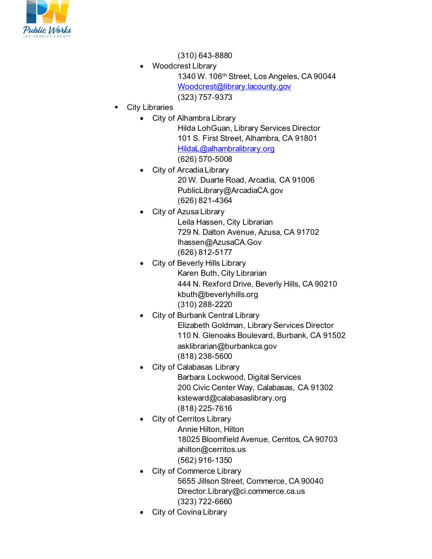

(310) 643-8880

- Woodcrest Library 1340 W. 106th Street, Los Angeles, CA 90044 [Woodcrest@library.lacounty.gov](mailto:Woodcrest@library.lacounty.gov) (323) 757-9373
- City Libraries
	- City of Alhambra Library

Hilda LohGuan, Library Services Director 101 S. First Street, Alhambra, CA 91801 [HildaL@alhambralibrary.org](mailto:HildaL@alhambralibrary.org) (626) 570-5008

- City of Arcadia Library 20 W. Duarte Road, Arcadia, CA 91006 PublicLibrary@ArcadiaCA.gov (626) 821-4364
	- City of Azusa Library Leila Hassen, City Librarian 729 N. Dalton Avenue, Azusa, CA 91702 lhassen@AzusaCA.Gov (626) 812-5177
- City of Beverly Hills Library Karen Buth, City Librarian 444 N. Rexford Drive, Beverly Hills, CA 90210 kbuth@beverlyhills.org (310) 288-2220
- City of Burbank Central Library Elizabeth Goldman, Library Services Director 110 N. Glenoaks Boulevard, Burbank, CA 91502 asklibrarian@burbankca.gov (818) 238-5600
- City of Calabasas Library Barbara Lockwood, Digital Services 200 Civic Center Way, Calabasas, CA 91302 ksteward@calabasaslibrary.org (818) 225-7616
- **City of Cerritos Library** Annie Hilton, Hilton 18025 Bloomfield Avenue, Cerritos, CA 90703 ahilton@cerritos.us (562) 916-1350
- City of Commerce Library 5655 Jillson Street, Commerce, CA 90040 Director.Library@ci.commerce.ca.us (323) 722-6660
- City of Covina Library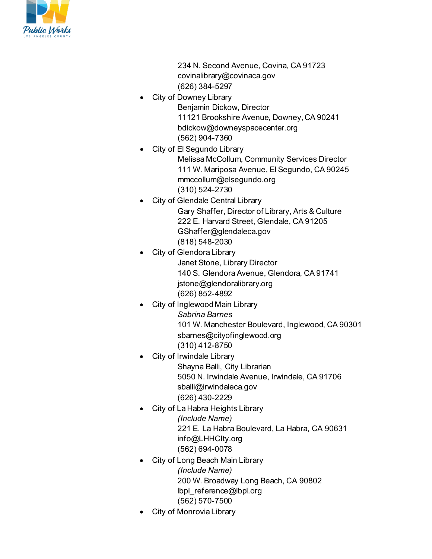

234 N. Second Avenue, Covina, CA 91723 covinalibrary@covinaca.gov (626) 384-5297

- **City of Downey Library** Benjamin Dickow, Director 11121 Brookshire Avenue, Downey, CA 90241 bdickow@downeyspacecenter.org (562) 904-7360
- City of El Segundo Library Melissa McCollum, Community Services Director 111 W. Mariposa Avenue, El Segundo, CA 90245 mmccollum@elsegundo.org (310) 524-2730
	- City of Glendale Central Library Gary Shaffer, Director of Library, Arts & Culture 222 E. Harvard Street, Glendale, CA 91205 GShaffer@glendaleca.gov (818) 548-2030
	- City of Glendora Library Janet Stone, Library Director 140 S. Glendora Avenue, Glendora, CA 91741 jstone@glendoralibrary.org (626) 852-4892
	- City of Inglewood Main Library *Sabrina Barnes* 101 W. Manchester Boulevard, Inglewood, CA 90301 sbarnes@cityofinglewood.org (310) 412-8750
- City of Irwindale Library

Shayna Balli, City Librarian 5050 N. Irwindale Avenue, Irwindale, CA 91706 sballi@irwindaleca.gov (626) 430-2229

- City of La Habra Heights Library *(Include Name)* 221 E. La Habra Boulevard, La Habra, CA 90631 info@LHHCIty.org (562) 694-0078
- City of Long Beach Main Library *(Include Name)* 200 W. Broadway Long Beach, CA 90802 lbpl\_reference@lbpl.org (562) 570-7500
- City of Monrovia Library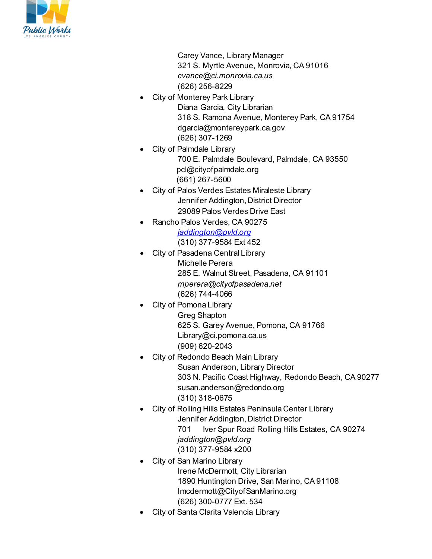

Carey Vance, Library Manager 321 S. Myrtle Avenue, Monrovia, CA 91016 *cvance@ci.monrovia.ca.us* (626) 256-8229

- City of Monterey Park Library Diana Garcia, City Librarian 318 S. Ramona Avenue, Monterey Park, CA 91754 dgarcia@montereypark.ca.gov (626) 307-1269
- City of Palmdale Library 700 E. Palmdale Boulevard, Palmdale, CA 93550 pcl@cityofpalmdale.org (661) 267-5600
- City of Palos Verdes Estates Miraleste Library Jennifer Addington, District Director 29089 Palos Verdes Drive East
- Rancho Palos Verdes, CA 90275 *[jaddington@pvld.org](mailto:jaddington@pvld.org)* (310) 377-9584 Ext 452
- City of Pasadena Central Library Michelle Perera 285 E. Walnut Street, Pasadena, CA 91101 *mperera@cityofpasadena.net* (626) 744-4066
- **City of Pomona Library** Greg Shapton 625 S. Garey Avenue, Pomona, CA 91766 Library@ci.pomona.ca.us (909) 620-2043
- City of Redondo Beach Main Library Susan Anderson, Library Director 303 N. Pacific Coast Highway, Redondo Beach, CA 90277 susan.anderson@redondo.org (310) 318-0675
- City of Rolling Hills Estates Peninsula Center Library Jennifer Addington, District Director 701 lver Spur Road Rolling Hills Estates, CA 90274 *jaddington@pvld.org* (310) 377-9584 x200
- City of San Marino Library Irene McDermott, City Librarian 1890 Huntington Drive, San Marino, CA 91108 Imcdermott@CityofSanMarino.org (626) 300-0777 Ext. 534
- City of Santa Clarita Valencia Library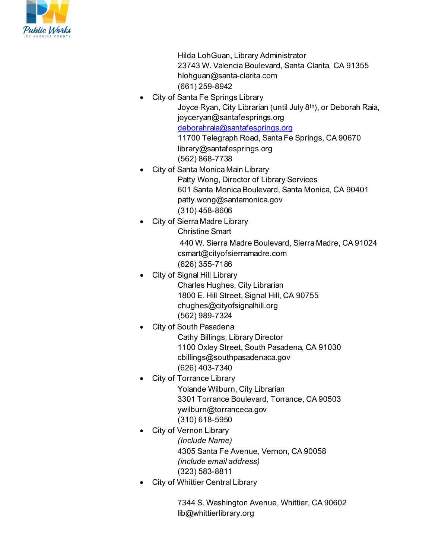

Hilda LohGuan, Library Administrator 23743 W. Valencia Boulevard, Santa Clarita, CA 91355 hlohguan@santa-clarita.com (661) 259-8942

• City of Santa Fe Springs Library Joyce Ryan, City Librarian (until July 8th), or Deborah Raia, joyceryan@santafesprings.org [deborahraia@santafesprings.org](mailto:deborahraia@santafesprings.org) 11700 Telegraph Road, Santa Fe Springs, CA 90670

library@santafesprings.org

- (562) 868-7738 • City of Santa Monica Main Library
	- Patty Wong, Director of Library Services 601 Santa Monica Boulevard, Santa Monica, CA 90401 patty.wong@santamonica.gov (310) 458-8606
- City of Sierra Madre Library
	- Christine Smart 440 W. Sierra Madre Boulevard, Sierra Madre, CA 91024 csmart@cityofsierramadre.com
	- (626) 355-7186
- City of Signal Hill Library
	- Charles Hughes, City Librarian 1800 E. Hill Street, Signal Hill, CA 90755 chughes@cityofsignalhill.org (562) 989-7324
	- **City of South Pasadena** Cathy Billings, Library Director 1100 Oxley Street, South Pasadena, CA 91030 cbillings@southpasadenaca.gov (626) 403-7340
- **City of Torrance Library** Yolande Wilburn, City Librarian 3301 Torrance Boulevard, Torrance, CA 90503 ywilburn@torranceca.gov (310) 618-5950
- **City of Vernon Library** *(Include Name)* 4305 Santa Fe Avenue, Vernon, CA 90058 *(include email address)* (323) 583-8811
- City of Whittier Central Library

7344 S. Washington Avenue, Whittier, CA 90602 lib@whittierlibrary.org